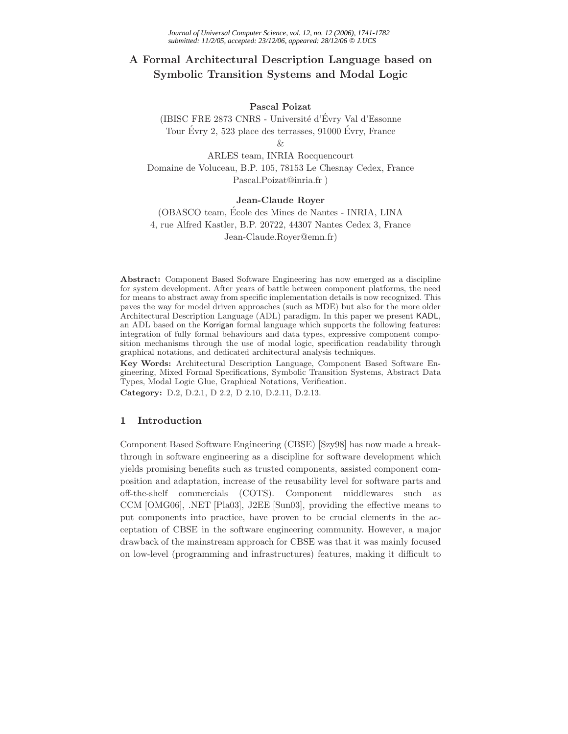## **A Formal Architectural Description Language based on Symbolic Transition Systems and Modal Logic**

## **Pascal Poizat**

(IBISC FRE 2873 CNRS - Université d'Évry Val d'Essonne Tour Evry 2, 523 place des terrasses,  $91000$  Evry, France

&

ARLES team, INRIA Rocquencourt Domaine de Voluceau, B.P. 105, 78153 Le Chesnay Cedex, France Pascal.Poizat@inria.fr )

## **Jean-Claude Royer**

(OBASCO team, Ecole des Mines de Nantes - INRIA, LINA ´ 4, rue Alfred Kastler, B.P. 20722, 44307 Nantes Cedex 3, France Jean-Claude.Royer@emn.fr)

**Abstract:** Component Based Software Engineering has now emerged as a discipline for system development. After years of battle between component platforms, the need for means to abstract away from specific implementation details is now recognized. This paves the way for model driven approaches (such as MDE) but also for the more older Architectural Description Language (ADL) paradigm. In this paper we present KADL, an ADL based on the Korrigan formal language which supports the following features: integration of fully formal behaviours and data types, expressive component composition mechanisms through the use of modal logic, specification readability through graphical notations, and dedicated architectural analysis techniques.

**Key Words:** Architectural Description Language, Component Based Software Engineering, Mixed Formal Specifications, Symbolic Transition Systems, Abstract Data Types, Modal Logic Glue, Graphical Notations, Verification.

**Category:** D.2, D.2.1, D 2.2, D 2.10, D.2.11, D.2.13.

## **1 Introduction**

Component Based Software Engineering (CBSE) [Szy98] has now made a breakthrough in software engineering as a discipline for software development which yields promising benefits such as trusted components, assisted component composition and adaptation, increase of the reusability level for software parts and off-the-shelf commercials (COTS). Component middlewares such as CCM [OMG06], .NET [Pla03], J2EE [Sun03], providing the effective means to put components into practice, have proven to be crucial elements in the acceptation of CBSE in the software engineering community. However, a major drawback of the mainstream approach for CBSE was that it was mainly focused on low-level (programming and infrastructures) features, making it difficult to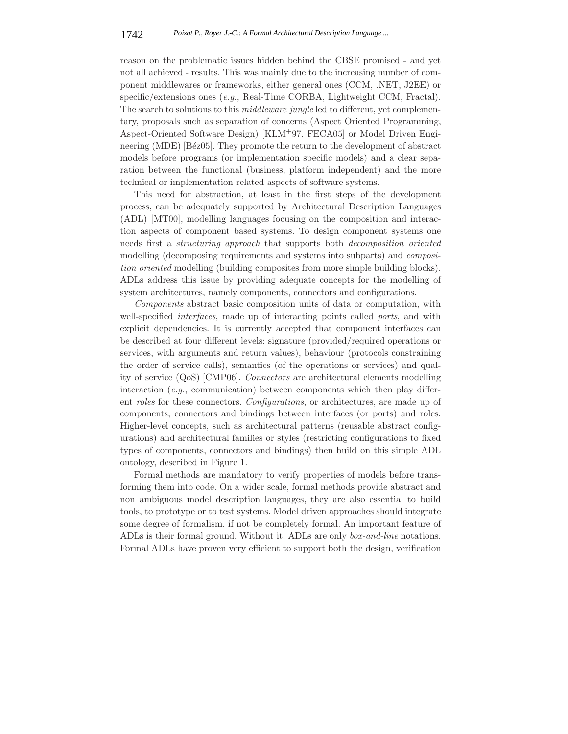reason on the problematic issues hidden behind the CBSE promised - and yet not all achieved - results. This was mainly due to the increasing number of component middlewares or frameworks, either general ones (CCM, .NET, J2EE) or specific/extensions ones (*e.g.*, Real-Time CORBA, Lightweight CCM, Fractal). The search to solutions to this *middleware jungle* led to different, yet complementary, proposals such as separation of concerns (Aspect Oriented Programming, Aspect-Oriented Software Design) [KLM+97, FECA05] or Model Driven Engineering (MDE) [Béz05]. They promote the return to the development of abstract models before programs (or implementation specific models) and a clear separation between the functional (business, platform independent) and the more technical or implementation related aspects of software systems.

This need for abstraction, at least in the first steps of the development process, can be adequately supported by Architectural Description Languages (ADL) [MT00], modelling languages focusing on the composition and interaction aspects of component based systems. To design component systems one needs first a *structuring approach* that supports both *decomposition oriented* modelling (decomposing requirements and systems into subparts) and *composition oriented* modelling (building composites from more simple building blocks). ADLs address this issue by providing adequate concepts for the modelling of system architectures, namely components, connectors and configurations.

*Components* abstract basic composition units of data or computation, with well-specified *interfaces*, made up of interacting points called *ports*, and with explicit dependencies. It is currently accepted that component interfaces can be described at four different levels: signature (provided/required operations or services, with arguments and return values), behaviour (protocols constraining the order of service calls), semantics (of the operations or services) and quality of service (QoS) [CMP06]. *Connectors* are architectural elements modelling interaction (*e.g.*, communication) between components which then play different *roles* for these connectors. *Configurations*, or architectures, are made up of components, connectors and bindings between interfaces (or ports) and roles. Higher-level concepts, such as architectural patterns (reusable abstract configurations) and architectural families or styles (restricting configurations to fixed types of components, connectors and bindings) then build on this simple ADL ontology, described in Figure 1.

Formal methods are mandatory to verify properties of models before transforming them into code. On a wider scale, formal methods provide abstract and non ambiguous model description languages, they are also essential to build tools, to prototype or to test systems. Model driven approaches should integrate some degree of formalism, if not be completely formal. An important feature of ADLs is their formal ground. Without it, ADLs are only *box-and-line* notations. Formal ADLs have proven very efficient to support both the design, verification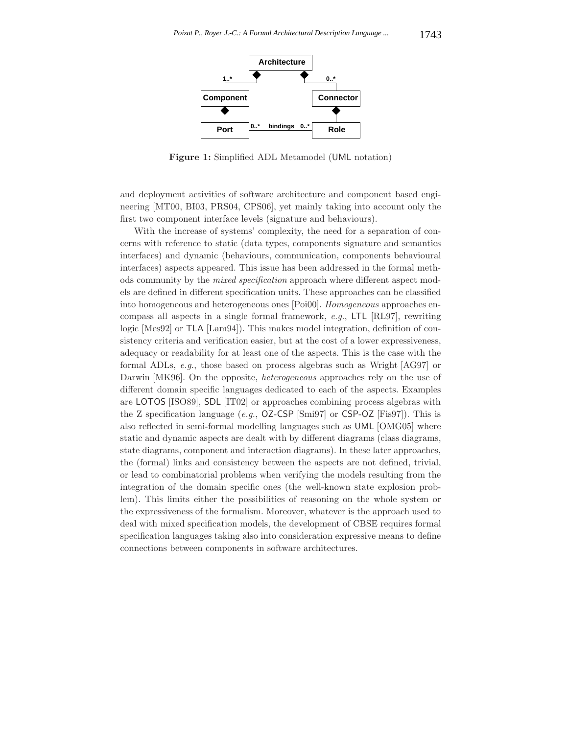

**Figure 1:** Simplified ADL Metamodel (UML notation)

and deployment activities of software architecture and component based engineering [MT00, BI03, PRS04, CPS06], yet mainly taking into account only the first two component interface levels (signature and behaviours).

With the increase of systems' complexity, the need for a separation of concerns with reference to static (data types, components signature and semantics interfaces) and dynamic (behaviours, communication, components behavioural interfaces) aspects appeared. This issue has been addressed in the formal methods community by the *mixed specification* approach where different aspect models are defined in different specification units. These approaches can be classified into homogeneous and heterogeneous ones [Poi00]. *Homogeneous* approaches encompass all aspects in a single formal framework, *e.g.*, LTL [RL97], rewriting logic [Mes92] or TLA [Lam94]). This makes model integration, definition of consistency criteria and verification easier, but at the cost of a lower expressiveness, adequacy or readability for at least one of the aspects. This is the case with the formal ADLs, *e.g.*, those based on process algebras such as Wright [AG97] or Darwin [MK96]. On the opposite, *heterogeneous* approaches rely on the use of different domain specific languages dedicated to each of the aspects. Examples are LOTOS [ISO89], SDL [IT02] or approaches combining process algebras with the Z specification language (*e.g.*, OZ-CSP [Smi97] or CSP-OZ [Fis97]). This is also reflected in semi-formal modelling languages such as UML [OMG05] where static and dynamic aspects are dealt with by different diagrams (class diagrams, state diagrams, component and interaction diagrams). In these later approaches, the (formal) links and consistency between the aspects are not defined, trivial, or lead to combinatorial problems when verifying the models resulting from the integration of the domain specific ones (the well-known state explosion problem). This limits either the possibilities of reasoning on the whole system or the expressiveness of the formalism. Moreover, whatever is the approach used to deal with mixed specification models, the development of CBSE requires formal specification languages taking also into consideration expressive means to define connections between components in software architectures.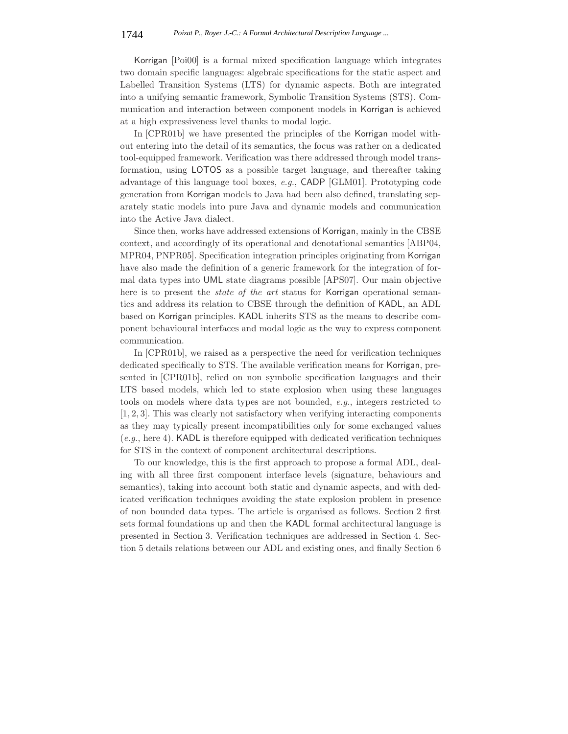Korrigan [Poi00] is a formal mixed specification language which integrates two domain specific languages: algebraic specifications for the static aspect and Labelled Transition Systems (LTS) for dynamic aspects. Both are integrated into a unifying semantic framework, Symbolic Transition Systems (STS). Communication and interaction between component models in Korrigan is achieved at a high expressiveness level thanks to modal logic.

In [CPR01b] we have presented the principles of the Korrigan model without entering into the detail of its semantics, the focus was rather on a dedicated tool-equipped framework. Verification was there addressed through model transformation, using LOTOS as a possible target language, and thereafter taking advantage of this language tool boxes, *e.g.*, CADP [GLM01]. Prototyping code generation from Korrigan models to Java had been also defined, translating separately static models into pure Java and dynamic models and communication into the Active Java dialect.

Since then, works have addressed extensions of Korrigan, mainly in the CBSE context, and accordingly of its operational and denotational semantics [ABP04, MPR04, PNPR05]. Specification integration principles originating from Korrigan have also made the definition of a generic framework for the integration of formal data types into UML state diagrams possible [APS07]. Our main objective here is to present the *state of the art* status for Korrigan operational semantics and address its relation to CBSE through the definition of KADL, an ADL based on Korrigan principles. KADL inherits STS as the means to describe component behavioural interfaces and modal logic as the way to express component communication.

In [CPR01b], we raised as a perspective the need for verification techniques dedicated specifically to STS. The available verification means for Korrigan, presented in [CPR01b], relied on non symbolic specification languages and their LTS based models, which led to state explosion when using these languages tools on models where data types are not bounded, *e.g.*, integers restricted to [1, 2, 3]. This was clearly not satisfactory when verifying interacting components as they may typically present incompatibilities only for some exchanged values (*e.g.*, here 4). KADL is therefore equipped with dedicated verification techniques for STS in the context of component architectural descriptions.

To our knowledge, this is the first approach to propose a formal ADL, dealing with all three first component interface levels (signature, behaviours and semantics), taking into account both static and dynamic aspects, and with dedicated verification techniques avoiding the state explosion problem in presence of non bounded data types. The article is organised as follows. Section 2 first sets formal foundations up and then the KADL formal architectural language is presented in Section 3. Verification techniques are addressed in Section 4. Section 5 details relations between our ADL and existing ones, and finally Section 6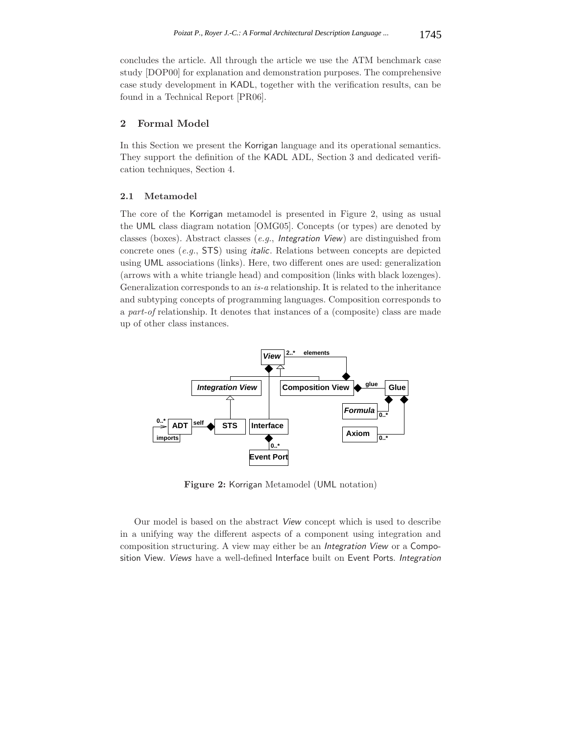concludes the article. All through the article we use the ATM benchmark case study [DOP00] for explanation and demonstration purposes. The comprehensive case study development in KADL, together with the verification results, can be found in a Technical Report [PR06].

## **2 Formal Model**

In this Section we present the Korrigan language and its operational semantics. They support the definition of the KADL ADL, Section 3 and dedicated verification techniques, Section 4.

## **2.1 Metamodel**

The core of the Korrigan metamodel is presented in Figure 2, using as usual the UML class diagram notation [OMG05]. Concepts (or types) are denoted by classes (boxes). Abstract classes (*e.g.*, *Integration View*) are distinguished from concrete ones (*e.g.*, STS) using *italic*. Relations between concepts are depicted using UML associations (links). Here, two different ones are used: generalization (arrows with a white triangle head) and composition (links with black lozenges). Generalization corresponds to an *is-a* relationship. It is related to the inheritance and subtyping concepts of programming languages. Composition corresponds to a *part-of* relationship. It denotes that instances of a (composite) class are made up of other class instances.



**Figure 2:** Korrigan Metamodel (UML notation)

Our model is based on the abstract *View* concept which is used to describe in a unifying way the different aspects of a component using integration and composition structuring. A view may either be an *Integration View* or a Composition View. *Views* have a well-defined Interface built on Event Ports. *Integration*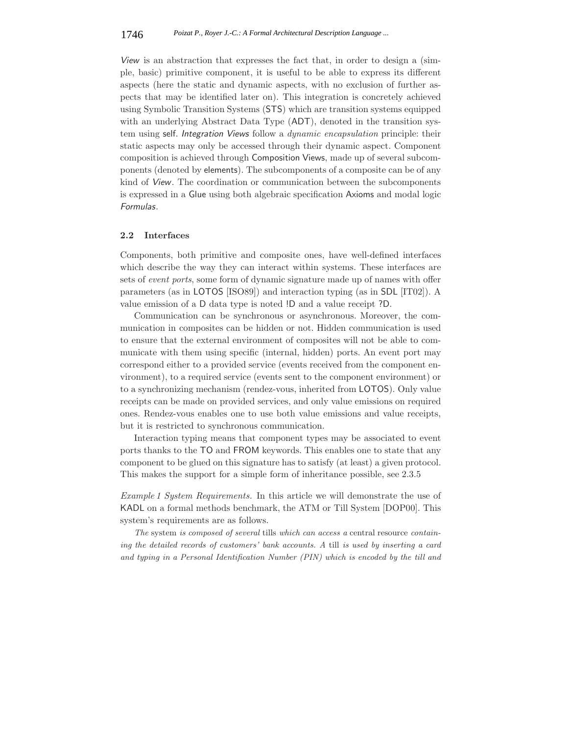*View* is an abstraction that expresses the fact that, in order to design a (simple, basic) primitive component, it is useful to be able to express its different aspects (here the static and dynamic aspects, with no exclusion of further aspects that may be identified later on). This integration is concretely achieved using Symbolic Transition Systems (STS) which are transition systems equipped with an underlying Abstract Data Type (ADT), denoted in the transition system using self. *Integration Views* follow a *dynamic encapsulation* principle: their static aspects may only be accessed through their dynamic aspect. Component composition is achieved through Composition Views, made up of several subcomponents (denoted by elements). The subcomponents of a composite can be of any kind of *View*. The coordination or communication between the subcomponents is expressed in a Glue using both algebraic specification Axioms and modal logic *Formulas*.

## **2.2 Interfaces**

Components, both primitive and composite ones, have well-defined interfaces which describe the way they can interact within systems. These interfaces are sets of *event ports*, some form of dynamic signature made up of names with offer parameters (as in LOTOS [ISO89]) and interaction typing (as in SDL [IT02]). A value emission of a D data type is noted !D and a value receipt ?D.

Communication can be synchronous or asynchronous. Moreover, the communication in composites can be hidden or not. Hidden communication is used to ensure that the external environment of composites will not be able to communicate with them using specific (internal, hidden) ports. An event port may correspond either to a provided service (events received from the component environment), to a required service (events sent to the component environment) or to a synchronizing mechanism (rendez-vous, inherited from LOTOS). Only value receipts can be made on provided services, and only value emissions on required ones. Rendez-vous enables one to use both value emissions and value receipts, but it is restricted to synchronous communication.

Interaction typing means that component types may be associated to event ports thanks to the TO and FROM keywords. This enables one to state that any component to be glued on this signature has to satisfy (at least) a given protocol. This makes the support for a simple form of inheritance possible, see 2.3.5

*Example 1 System Requirements.* In this article we will demonstrate the use of KADL on a formal methods benchmark, the ATM or Till System [DOP00]. This system's requirements are as follows.

*The* system *is composed of several* tills *which can access a* central resource *containing the detailed records of customers' bank accounts. A* till *is used by inserting a card and typing in a Personal Identification Number (PIN) which is encoded by the till and*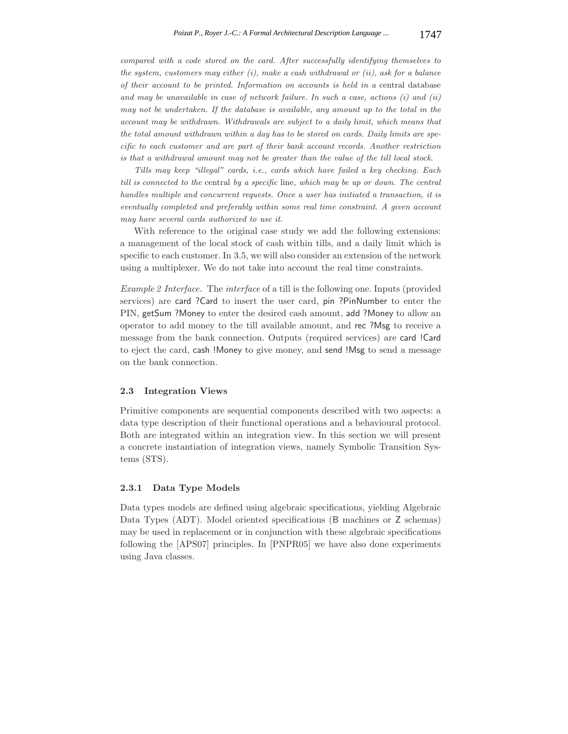*compared with a code stored on the card. After successfully identifying themselves to the system, customers may either (i), make a cash withdrawal or (ii), ask for a balance of their account to be printed. Information on accounts is held in a* central database *and may be unavailable in case of network failure. In such a case, actions (i) and (ii) may not be undertaken. If the database is available, any amount up to the total in the account may be withdrawn. Withdrawals are subject to a daily limit, which means that the total amount withdrawn within a day has to be stored on cards. Daily limits are specific to each customer and are part of their bank account records. Another restriction is that a withdrawal amount may not be greater than the value of the till local stock.*

*Tills may keep "illegal" cards, i.e., cards which have failed a key checking. Each till is connected to the* central *by a specific* line*, which may be up or down. The central handles multiple and concurrent requests. Once a user has initiated a transaction, it is eventually completed and preferably within some real time constraint. A given account may have several cards authorized to use it.*

With reference to the original case study we add the following extensions: a management of the local stock of cash within tills, and a daily limit which is specific to each customer. In 3.5, we will also consider an extension of the network using a multiplexer. We do not take into account the real time constraints.

*Example 2 Interface.* The *interface* of a till is the following one. Inputs (provided services) are card ?Card to insert the user card, pin ?PinNumber to enter the PIN, getSum ?Money to enter the desired cash amount, add ?Money to allow an operator to add money to the till available amount, and rec ?Msg to receive a message from the bank connection. Outputs (required services) are card !Card to eject the card, cash !Money to give money, and send !Msg to send a message on the bank connection.

## **2.3 Integration Views**

Primitive components are sequential components described with two aspects: a data type description of their functional operations and a behavioural protocol. Both are integrated within an integration view. In this section we will present a concrete instantiation of integration views, namely Symbolic Transition Systems (STS).

## **2.3.1 Data Type Models**

Data types models are defined using algebraic specifications, yielding Algebraic Data Types (ADT). Model oriented specifications (B machines or Z schemas) may be used in replacement or in conjunction with these algebraic specifications following the [APS07] principles. In [PNPR05] we have also done experiments using Java classes.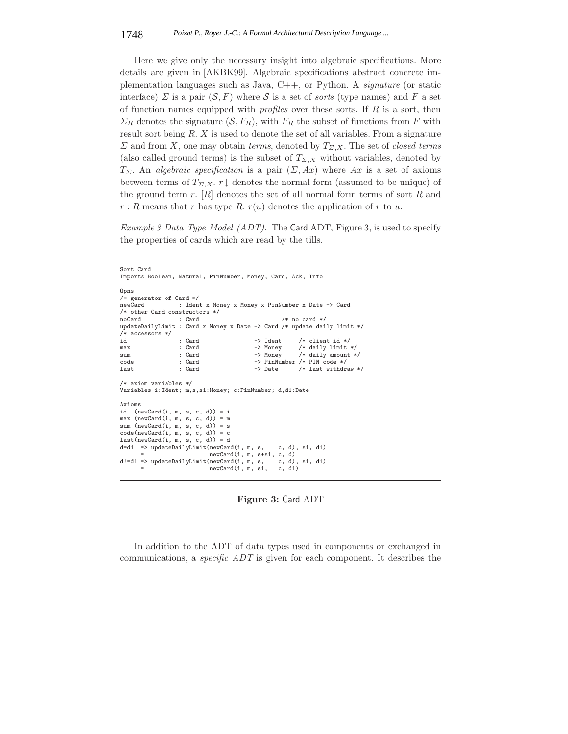Here we give only the necessary insight into algebraic specifications. More details are given in [AKBK99]. Algebraic specifications abstract concrete implementation languages such as Java, C++, or Python. A *signature* (or static interface)  $\Sigma$  is a pair  $(S, F)$  where S is a set of *sorts* (type names) and F a set of function names equipped with *profiles* over these sorts. If R is a sort, then  $\Sigma_R$  denotes the signature  $(S, F_R)$ , with  $F_R$  the subset of functions from F with result sort being  $R$ .  $X$  is used to denote the set of all variables. From a signature  $\Sigma$  and from X, one may obtain *terms*, denoted by  $T_{\Sigma,X}$ . The set of *closed terms* (also called ground terms) is the subset of  $T_{\Sigma,X}$  without variables, denoted by  $T_{\Sigma}$ . An *algebraic specification* is a pair  $(\Sigma, Ax)$  where Ax is a set of axioms between terms of  $T_{\Sigma,X}$ . r  $\downarrow$  denotes the normal form (assumed to be unique) of the ground term  $r$ .  $[R]$  denotes the set of all normal form terms of sort  $R$  and  $r: R$  means that r has type R.  $r(u)$  denotes the application of r to u.

*Example 3 Data Type Model (ADT).* The Card ADT, Figure 3, is used to specify the properties of cards which are read by the tills.

```
Sort Card
Imports Boolean, Natural, PinNumber, Money, Card, Ack, Info
Opns
/* generator of Card */
                  : Ident x Money x Money x PinNumber x Date -> Card
/* other Card constructors */
noCard : Card /* no card */
updateDailyLimit : Card x Money x Date -> Card /* update daily limit */
/* accessors */
id : Card -> Ident /* client id */<br>max : Card -> Money /* daily limit
max : Card -> Money /* daily limit */<br>sum : Card -> Money /* daily amount *
sum : Card -> Money /* daily amount */<br>
code : Card -> PinNumber /* PIN code */
code : Card -> PinNumber /* PIN code */<br>
last : Card -> Date /* last withdra
                                                          /* last withdraw */
/* axiom variables */
Variables i:Ident; m,s,s1:Money; c:PinNumber; d,d1:Date
Axioms
id (newCard(i, m, s, c, d)) = imax (newCard(i, m, s, c, d)) = m
sum (newCard(i, m, s, c, d)) = scode(newCard(i, m, s, c, d)) = clast(newCard(i, m, s, c, d)) = dd=d1 => updateDailyLimit(newCard(i, m, s, c, d), s1, d1)
                             newCard(i, m, s+s1, c, d)<br>(newCard(i, m, s, c, d), s1, d1)
d!=d1 => updateDailyLimit(newCard(i, m, s, c, d), = newCard(i, m, s1, c, d1)
                             newCard(i, m, s1,
```
**Figure 3:** Card ADT

In addition to the ADT of data types used in components or exchanged in communications, a *specific ADT* is given for each component. It describes the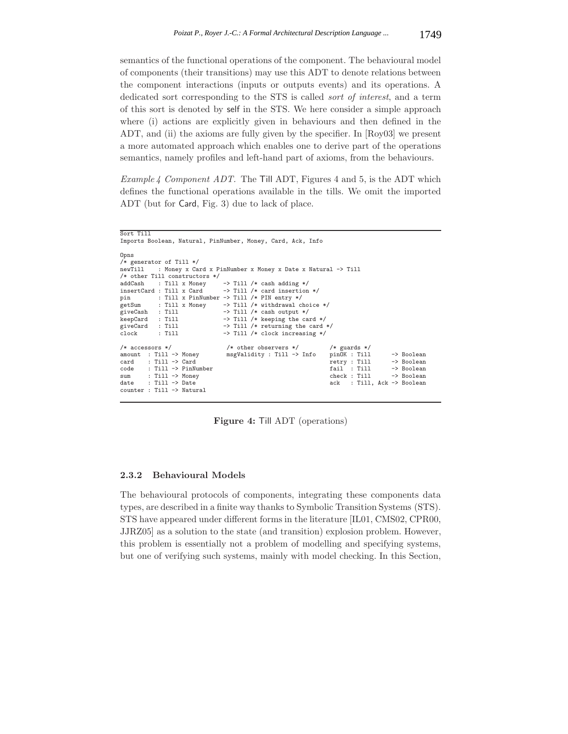semantics of the functional operations of the component. The behavioural model of components (their transitions) may use this ADT to denote relations between the component interactions (inputs or outputs events) and its operations. A dedicated sort corresponding to the STS is called *sort of interest*, and a term of this sort is denoted by self in the STS. We here consider a simple approach where (i) actions are explicitly given in behaviours and then defined in the ADT, and (ii) the axioms are fully given by the specifier. In [Roy03] we present a more automated approach which enables one to derive part of the operations semantics, namely profiles and left-hand part of axioms, from the behaviours.

*Example 4 Component ADT.* The Till ADT, Figures 4 and 5, is the ADT which defines the functional operations available in the tills. We omit the imported ADT (but for Card, Fig. 3) due to lack of place.

Imports Boolean, Natural, PinNumber, Money, Card, Ack, Info Opns  $/*$  generator of Till  $*/$ <br>newTill : Monev x Ca : Money x Card x PinNumber x Money x Date x Natural -> Till /\* other Till constructors \*/ addCash : Till x Money -> Till /\* cash adding \*/<br>insertCard : Till x Card -> Till /\* card insertion insertCard : Till x Card -> Till /\* card insertion \*/ pin : Till x PinNumber -> Till /\* PIN entry \*/ getSum : Till x Money -> Till /\* withdrawal choice \*/ giveCash : Till -> Till /\* cash output \*/<br>keepCard : Till -> Till /\* keeping the ca keepCard : Till -> Till /\* keeping the card \*/<br>giveCard : Till -> Till /\* returning the card giveCard : Till  $\rightarrow$  Till /\* returning the card \*/<br>clock : Till  $\rightarrow$  Till /\* clock increasing \*/ -> Till /\* clock increasing \*/ /\* accessors \*/ /\* other observers \*/ /\* guards \*/ amount : Till -> Money msgValidity : Till -> Info pinOK : Till -> Boolean card : Till -> Card retry : Till -> Boolean<br>fail : Till -> Boolean code : Till -> PinNumber fail : Till -> Boolean<br>sum : Till -> Money fail : Till -> Boolean sum : Till -> Money<br>date : Till -> Date : Till, Ack -> Boolean counter : Till -> Natural

**Figure 4:** Till ADT (operations)

## **2.3.2 Behavioural Models**

Sort Till

The behavioural protocols of components, integrating these components data types, are described in a finite way thanks to Symbolic Transition Systems (STS). STS have appeared under different forms in the literature [IL01, CMS02, CPR00, JJRZ05] as a solution to the state (and transition) explosion problem. However, this problem is essentially not a problem of modelling and specifying systems, but one of verifying such systems, mainly with model checking. In this Section,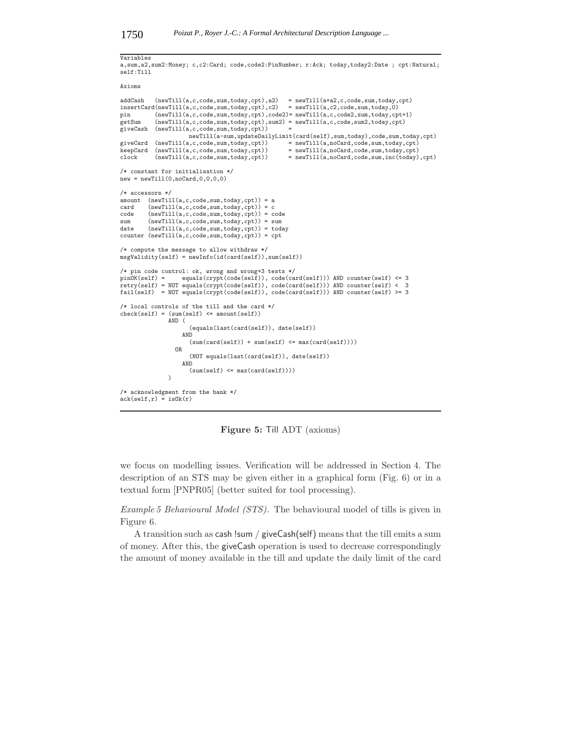# Variables

```
a,sum,a2,sum2:Money; c,c2:Card; code,code2:PinNumber; r:Ack; today,today2:Date ; cpt:Natural;
self:Till
```
Axioms

```
addCash (newTill(a,c,code,sum,today,cpt),a2) = newTill(a+a2,c,code,sum,today,cpt)
insertCard(newTill(a, c, code, sum, today, cpt), c2) = newTill(a, c2, code, sum, today, 0)<br>pin (newTill(a,c.code,sum,today,cpt),code2)=newTill(a,c.code2.sum,today.cp
pin (newTill(a,c,code,sum,today,cpt),code2)= newTill(a,c,code2,sum,today,cpt+1)<br>getSum (newTill(a,c,code,sum,today,cpt),sum2) = newTill(a,c,code,sum2,today,cpt)
               (newTill(a, c, code, sum, today, cpt), sum2) = newTill(a, c, code, sum2, today, cpt)giveCash (newTill(a,c,code,sum,today,cpt)) =
                             \begin{aligned} \texttt{newTill}(\texttt{a-sum},\texttt{updateDailyLimit}(\texttt{card}(\texttt{self}),\texttt{sum},\texttt{today}),\texttt{code},\texttt{sum},\texttt{today},\texttt{cpt})\\ \texttt{a}, \texttt{c}, \texttt{code}, \texttt{sum}, \texttt{today}, \texttt{cpt}) \quad = \texttt{newTill}(\texttt{a}, \texttt{noCard}, \texttt{code}, \texttt{sum}, \texttt{today}, \texttt{cpt}) \end{aligned}giveCard (newTill(a,c,code,sum,today,cpt))<br>keepCard (newTill(a,c,code,sum,today,cpt))
keyCard (newTill(a,c,code,sum,today,cpt)) = newTill(a,noCard,code,sum,today,cpt)<br>clock (newTill(a.c.code.sum.today.cpt)) = newTill(a.noCard.code.sum.inc(today).cpt)
               (newTill(a, c, code, sum, today, cpt))/* constant for initialisation */
new = newTill(0,noCard,0,0,0,0)
/* accessors */
amount (newTill(a,c,code,sum,today,cpt)) = a<br>card (newTill(a,c,code,sum,today,cpt)) = ccard (newTill(a, c, code, sum, today, cpt)) = c<br>code (newTill(a.c.code.sum,totalv, cpt)) = c(newTill(a, c, code, sum, today, cpt)) = codesum (newTill(a,c,code,sum,today,cpt)) = sum
date (newTill(a,c,code,sum,today,cpt)) = today
counter (newTill(a,c,code,sum,today,cpt)) = cpt
/* compute the message to allow withdraw */
msgValidity(self) = newInfo(id(card(self)),sum(self))
/* pin code control: ok, wrong and wrong+3 tests */<br>pinOK(self) = equals(crypt(code(self)), code(ca:
                         \texttt{equals}(\texttt{crypt}(\texttt{code}(\texttt{self})), \texttt{code}(\texttt{card}(\texttt{self}))) AND counter(self) <= 3
retry(self) = NOT equals(crypt(code(self)), code(card(self))) AND counter(self) < 3
fail(self) = NOT equals(crypt(code(self)), code(card(self))) AND counter(self) >= 3
/* local controls of the till and the card */
check(self) = (sum(self) \leq amount(self))AND (
                              (equals(last(card(self)), date(self))
                           AND
                              (sum(card(self)) + sum(self) \leq max(card(self))))OR
                              (NOT equals(last(card(self)), date(self))
                           AND
                              (sum(self) \leq max(card(self)))\lambda/* acknowledgment from the bank */
ack(self,r) = is0k(r)
```
**Figure 5:** Till ADT (axioms)

we focus on modelling issues. Verification will be addressed in Section 4. The description of an STS may be given either in a graphical form (Fig. 6) or in a textual form [PNPR05] (better suited for tool processing).

*Example 5 Behavioural Model (STS).* The behavioural model of tills is given in Figure 6.

A transition such as cash !sum / giveCash(self) means that the till emits a sum of money. After this, the giveCash operation is used to decrease correspondingly the amount of money available in the till and update the daily limit of the card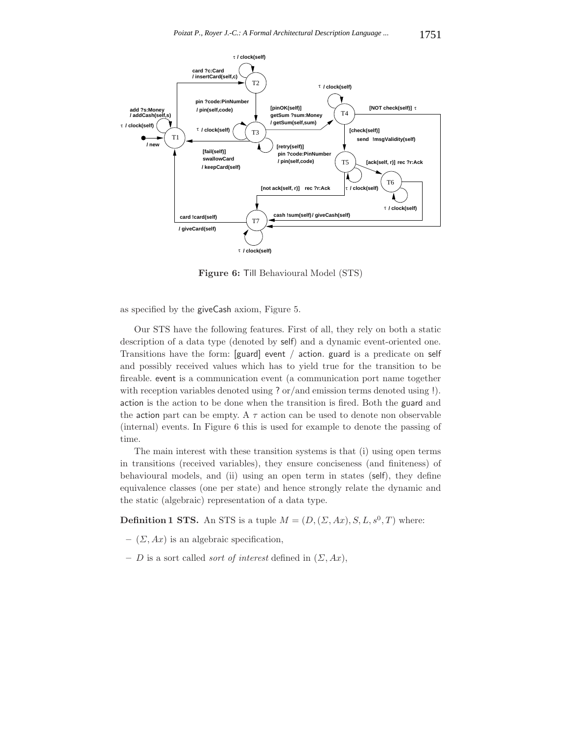

**Figure 6:** Till Behavioural Model (STS)

as specified by the giveCash axiom, Figure 5.

Our STS have the following features. First of all, they rely on both a static description of a data type (denoted by self) and a dynamic event-oriented one. Transitions have the form: [guard] event / action. guard is a predicate on self and possibly received values which has to yield true for the transition to be fireable. event is a communication event (a communication port name together with reception variables denoted using ? or/and emission terms denoted using !). action is the action to be done when the transition is fired. Both the guard and the action part can be empty. A  $\tau$  action can be used to denote non observable (internal) events. In Figure 6 this is used for example to denote the passing of time.

The main interest with these transition systems is that (i) using open terms in transitions (received variables), they ensure conciseness (and finiteness) of behavioural models, and (ii) using an open term in states (self), they define equivalence classes (one per state) and hence strongly relate the dynamic and the static (algebraic) representation of a data type.

**Definition 1 STS.** An STS is a tuple  $M = (D, (\Sigma, Ax), S, L, s^0, T)$  where:

- $(\Sigma, Ax)$  is an algebraic specification,
- $D$  is a sort called *sort of interest* defined in  $(\Sigma, Ax)$ ,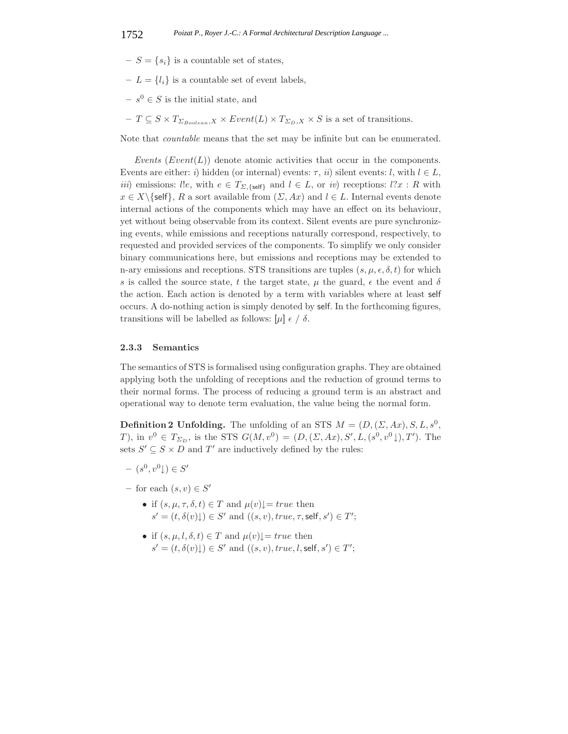- $S = \{s_i\}$  is a countable set of states,
- $-L = \{l_i\}$  is a countable set of event labels,
- $− s<sup>0</sup> ∈ S$  is the initial state, and
- $T \subseteq S \times T_{\Sigma_{Boolean}, X} \times Event(L) \times T_{\Sigma_{D}, X} \times S$  is a set of transitions.

Note that *countable* means that the set may be infinite but can be enumerated.

*Events* (*Event*(*L*)) denote atomic activities that occur in the components. Events are either: *i*) hidden (or internal) events:  $\tau$ , *ii*) silent events: *l*, with  $l \in L$ , *iii*) emissions: l!e, with  $e \in T_{\Sigma}$ ,  $\{seff\}$  and  $l \in L$ , or *iv*) receptions: l?x : R with  $x \in X \backslash \{\text{self}\}, R$  a sort available from  $(\Sigma, Ax)$  and  $l \in L$ . Internal events denote internal actions of the components which may have an effect on its behaviour, yet without being observable from its context. Silent events are pure synchronizing events, while emissions and receptions naturally correspond, respectively, to requested and provided services of the components. To simplify we only consider binary communications here, but emissions and receptions may be extended to n-ary emissions and receptions. STS transitions are tuples  $(s, \mu, \epsilon, \delta, t)$  for which s is called the source state, t the target state,  $\mu$  the guard,  $\epsilon$  the event and  $\delta$ the action. Each action is denoted by a term with variables where at least self occurs. A do-nothing action is simply denoted by self. In the forthcoming figures, transitions will be labelled as follows:  $[\mu] \in / \delta$ .

## **2.3.3 Semantics**

The semantics of STS is formalised using configuration graphs. They are obtained applying both the unfolding of receptions and the reduction of ground terms to their normal forms. The process of reducing a ground term is an abstract and operational way to denote term evaluation, the value being the normal form.

**Definition 2 Unfolding.** The unfolding of an STS  $M = (D, (\Sigma, Ax), S, L, s^0, \Sigma)$ T), in  $v^0 \in T_{\Sigma_D}$ , is the STS  $G(M, v^0) = (D, (\Sigma, Ax), S', L, (s^0, v^0), T')$ . The sets  $S' \subseteq S \times D$  and T' are inductively defined by the rules:

- $(s^0, v^0) \in S'$
- $-$  for each  $(s, v) \in S'$ 
	- if  $(s, \mu, \tau, \delta, t) \in T$  and  $\mu(v) \downarrow = true$  then  $s' = (t, \delta(v)) \cup \in S'$  and  $((s, v), true, \tau, \text{self}, s') \in T'$ ;
	- if  $(s, \mu, l, \delta, t) \in T$  and  $\mu(v)$  $= true$  then  $s' = (t, \delta(v)) \cup \in S'$  and  $((s, v), true, l, self, s') \in T'$ ;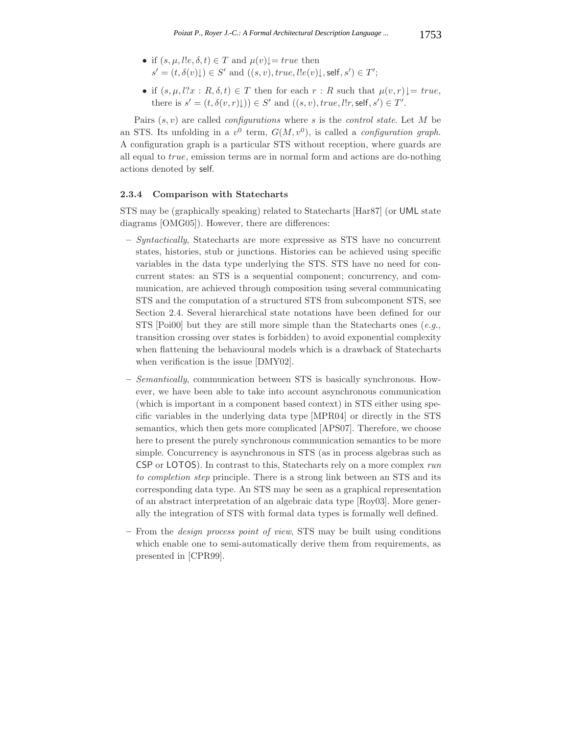- if  $(s, \mu, l, \delta, t) \in T$  and  $\mu(v)$  $= true$  then  $s' = (t, \delta(v) \downarrow) \in S'$  and  $((s, v), true, l!e(v) \downarrow, self, s') \in T'$ ;
- if  $(s, \mu, l?x : R, \delta, t) \in T$  then for each  $r : R$  such that  $\mu(v, r) \downarrow = true$ , there is  $s' = (t, \delta(v, r) \downarrow)) \in S'$  and  $((s, v), true, l!r, \text{self}, s') \in T'.$

Pairs (s, v) are called *configurations* where s is the *control state*. Let M be an STS. Its unfolding in a  $v^0$  term,  $G(M, v^0)$ , is called a *configuration graph*. A configuration graph is a particular STS without reception, where guards are all equal to true, emission terms are in normal form and actions are do-nothing actions denoted by self.

## **2.3.4 Comparison with Statecharts**

STS may be (graphically speaking) related to Statecharts [Har87] (or UML state diagrams [OMG05]). However, there are differences:

- **–** *Syntactically*, Statecharts are more expressive as STS have no concurrent states, histories, stub or junctions. Histories can be achieved using specific variables in the data type underlying the STS. STS have no need for concurrent states: an STS is a sequential component; concurrency, and communication, are achieved through composition using several communicating STS and the computation of a structured STS from subcomponent STS, see Section 2.4. Several hierarchical state notations have been defined for our STS [Poi00] but they are still more simple than the Statecharts ones (*e.g.*, transition crossing over states is forbidden) to avoid exponential complexity when flattening the behavioural models which is a drawback of Statecharts when verification is the issue [DMY02].
- **–** *Semantically*, communication between STS is basically synchronous. However, we have been able to take into account asynchronous communication (which is important in a component based context) in STS either using specific variables in the underlying data type [MPR04] or directly in the STS semantics, which then gets more complicated [APS07]. Therefore, we choose here to present the purely synchronous communication semantics to be more simple. Concurrency is asynchronous in STS (as in process algebras such as CSP or LOTOS). In contrast to this, Statecharts rely on a more complex *run to completion step* principle. There is a strong link between an STS and its corresponding data type. An STS may be seen as a graphical representation of an abstract interpretation of an algebraic data type [Roy03]. More generally the integration of STS with formal data types is formally well defined.
- **–** From the *design process point of view*, STS may be built using conditions which enable one to semi-automatically derive them from requirements, as presented in [CPR99].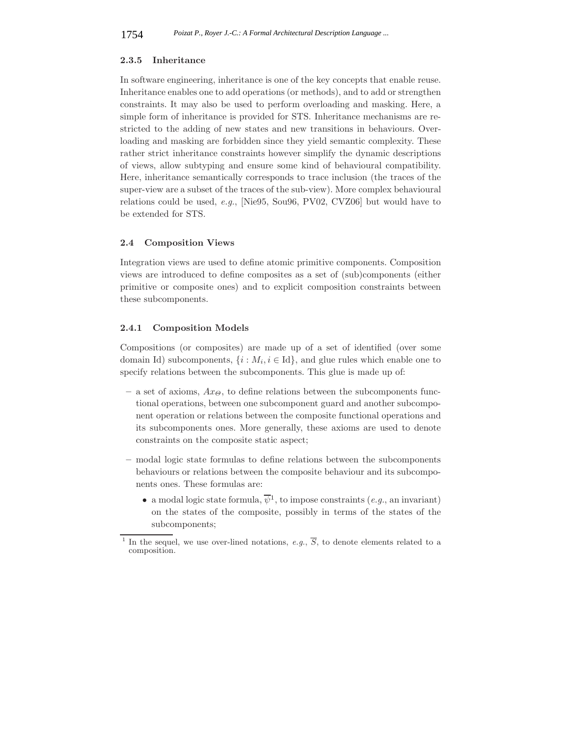#### **2.3.5 Inheritance**

In software engineering, inheritance is one of the key concepts that enable reuse. Inheritance enables one to add operations (or methods), and to add or strengthen constraints. It may also be used to perform overloading and masking. Here, a simple form of inheritance is provided for STS. Inheritance mechanisms are restricted to the adding of new states and new transitions in behaviours. Overloading and masking are forbidden since they yield semantic complexity. These rather strict inheritance constraints however simplify the dynamic descriptions of views, allow subtyping and ensure some kind of behavioural compatibility. Here, inheritance semantically corresponds to trace inclusion (the traces of the super-view are a subset of the traces of the sub-view). More complex behavioural relations could be used, *e.g.*, [Nie95, Sou96, PV02, CVZ06] but would have to be extended for STS.

## **2.4 Composition Views**

Integration views are used to define atomic primitive components. Composition views are introduced to define composites as a set of (sub)components (either primitive or composite ones) and to explicit composition constraints between these subcomponents.

## **2.4.1 Composition Models**

Compositions (or composites) are made up of a set of identified (over some domain Id) subcomponents,  $\{i : M_i, i \in Id\}$ , and glue rules which enable one to specify relations between the subcomponents. This glue is made up of:

- $-$  a set of axioms,  $Ax_{\Theta}$ , to define relations between the subcomponents functional operations, between one subcomponent guard and another subcomponent operation or relations between the composite functional operations and its subcomponents ones. More generally, these axioms are used to denote constraints on the composite static aspect;
- **–** modal logic state formulas to define relations between the subcomponents behaviours or relations between the composite behaviour and its subcomponents ones. These formulas are:
	- a modal logic state formula,  $\overline{\psi}^1$ , to impose constraints (*e.g.*, an invariant) on the states of the composite, possibly in terms of the states of the subcomponents;

In the sequel, we use over-lined notations, *e.g.*,  $\overline{S}$ , to denote elements related to a composition.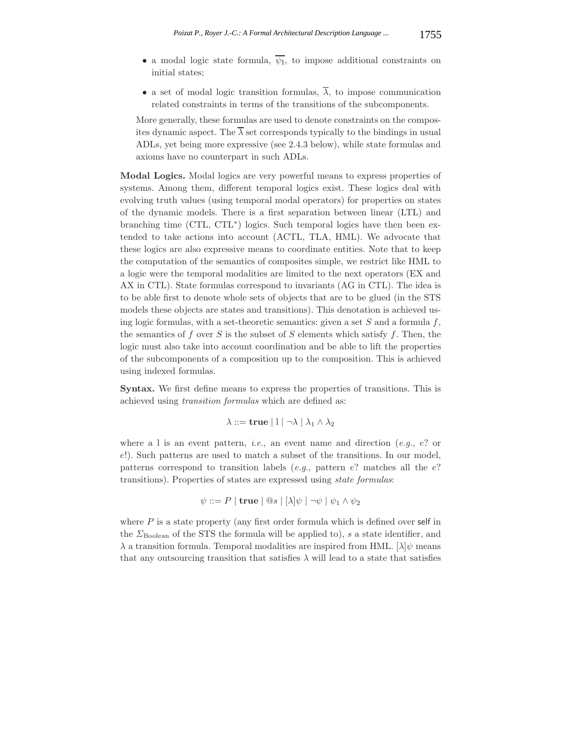- a modal logic state formula,  $\overline{\psi_1}$ , to impose additional constraints on initial states;
- a set of modal logic transition formulas,  $\overline{\lambda}$ , to impose communication related constraints in terms of the transitions of the subcomponents.

More generally, these formulas are used to denote constraints on the composites dynamic aspect. The  $\overline{\lambda}$  set corresponds typically to the bindings in usual ADLs, yet being more expressive (see 2.4.3 below), while state formulas and axioms have no counterpart in such ADLs.

**Modal Logics.** Modal logics are very powerful means to express properties of systems. Among them, different temporal logics exist. These logics deal with evolving truth values (using temporal modal operators) for properties on states of the dynamic models. There is a first separation between linear (LTL) and branching time (CTL, CTL∗) logics. Such temporal logics have then been extended to take actions into account (ACTL, TLA, HML). We advocate that these logics are also expressive means to coordinate entities. Note that to keep the computation of the semantics of composites simple, we restrict like HML to a logic were the temporal modalities are limited to the next operators (EX and AX in CTL). State formulas correspond to invariants (AG in CTL). The idea is to be able first to denote whole sets of objects that are to be glued (in the STS models these objects are states and transitions). This denotation is achieved using logic formulas, with a set-theoretic semantics: given a set  $S$  and a formula  $f$ , the semantics of f over S is the subset of S elements which satisfy f. Then, the logic must also take into account coordination and be able to lift the properties of the subcomponents of a composition up to the composition. This is achieved using indexed formulas.

**Syntax.** We first define means to express the properties of transitions. This is achieved using *transition formulas* which are defined as:

$$
\lambda ::= \mathbf{true} \mid l \mid \neg \lambda \mid \lambda_1 \wedge \lambda_2
$$

where a l is an event pattern, *i.e.*, an event name and direction (*e.g.*, e? or e!). Such patterns are used to match a subset of the transitions. In our model, patterns correspond to transition labels  $(e.g.,$  pattern  $e$ ? matches all the  $e$ ? transitions). Properties of states are expressed using *state formulas*:

$$
\psi ::= P | \mathbf{true} | \mathbf{@} s | [\lambda] \psi | \neg \psi | \psi_1 \land \psi_2
$$

where  $P$  is a state property (any first order formula which is defined over self in the  $\Sigma_{\text{Boolean}}$  of the STS the formula will be applied to), s a state identifier, and  $\lambda$  a transition formula. Temporal modalities are inspired from HML. [ $\lambda$ ] $\psi$  means that any outsourcing transition that satisfies  $\lambda$  will lead to a state that satisfies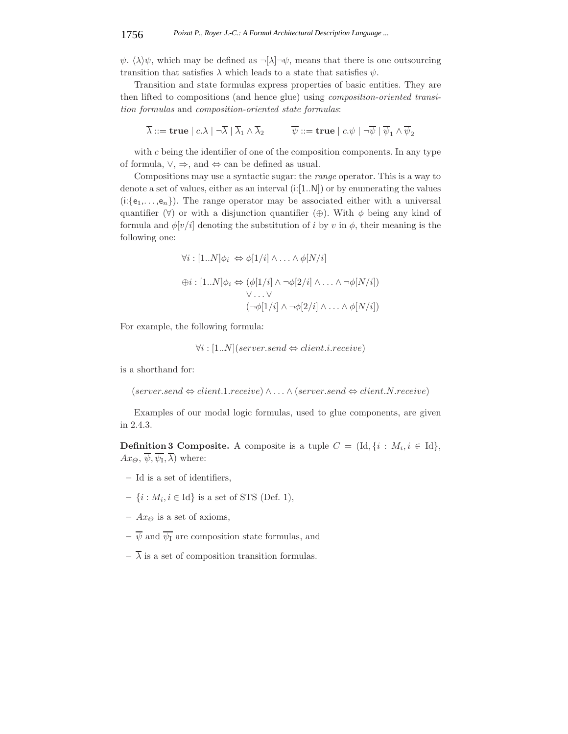$\psi$ .  $\langle \lambda \rangle \psi$ , which may be defined as  $\neg \lbrack \lambda \rbrack \neg \psi$ , means that there is one outsourcing transition that satisfies  $\lambda$  which leads to a state that satisfies  $\psi$ .

Transition and state formulas express properties of basic entities. They are then lifted to compositions (and hence glue) using *composition-oriented transition formulas* and *composition-oriented state formulas*:

$$
\overline{\lambda}::=\mathbf{true} \mid c.\lambda \mid \neg\overline{\lambda} \mid \overline{\lambda}_1 \wedge \overline{\lambda}_2 \qquad \quad \overline{\psi}::=\mathbf{true} \mid c.\psi \mid \neg\overline{\psi} \mid \overline{\psi}_1 \wedge \overline{\psi}_2
$$

with  $c$  being the identifier of one of the composition components. In any type of formula,  $\vee$ ,  $\Rightarrow$ , and  $\Leftrightarrow$  can be defined as usual.

Compositions may use a syntactic sugar: the *range* operator. This is a way to denote a set of values, either as an interval (i:[1..N]) or by enumerating the values  $(i:\{e_1,\ldots,e_n\})$ . The range operator may be associated either with a universal quantifier  $(\forall)$  or with a disjunction quantifier  $(\oplus)$ . With  $\phi$  being any kind of formula and  $\phi[v/i]$  denoting the substitution of i by v in  $\phi$ , their meaning is the following one:

$$
\forall i : [1..N] \phi_i \Leftrightarrow \phi[1/i] \land ... \land \phi[N/i]
$$

$$
\oplus i : [1..N] \phi_i \Leftrightarrow (\phi[1/i] \land \neg \phi[2/i] \land ... \land \neg \phi[N/i])
$$

$$
\lor ... \lor
$$

$$
(\neg \phi[1/i] \land \neg \phi[2/i] \land ... \land \phi[N/i])
$$

For example, the following formula:

 $\forall i : [1..N]$ (server.send  $\Leftrightarrow$  client.i.receive)

is a shorthand for:

 $(server send \Leftrightarrow client.1.receive) \wedge \ldots \wedge (server.send \Leftrightarrow client. N.receive)$ 

Examples of our modal logic formulas, used to glue components, are given in 2.4.3.

**Definition 3 Composite.** A composite is a tuple  $C = (\text{Id}, \{i : M_i, i \in \text{Id}\},\)$  $Ax_{\Theta}, \overline{\psi}, \overline{\psi_1}, \overline{\lambda}$  where:

- **–** Id is a set of identifiers,
- $\{i : M_i, i \in \text{Id}\}\$ is a set of STS (Def. 1),
- $Ax_{\Theta}$  is a set of axioms,
- $-\overline{\psi}$  and  $\overline{\psi_1}$  are composition state formulas, and
- $-\overline{\lambda}$  is a set of composition transition formulas.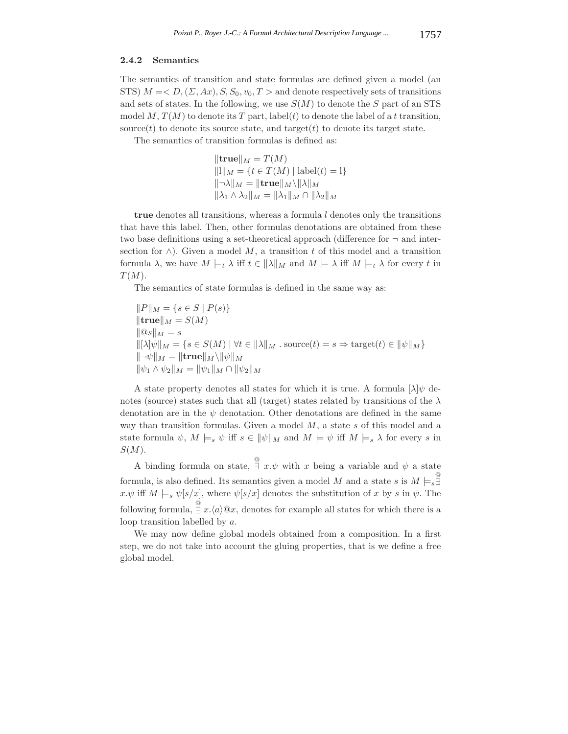#### **2.4.2 Semantics**

The semantics of transition and state formulas are defined given a model (an STS)  $M = < D$ ,  $(\Sigma, Ax)$ ,  $S$ ,  $S_0$ ,  $v_0$ ,  $T >$  and denote respectively sets of transitions and sets of states. In the following, we use  $S(M)$  to denote the S part of an STS model M,  $T(M)$  to denote its T part, label(t) to denote the label of a t transition, source(t) to denote its source state, and target(t) to denote its target state.

The semantics of transition formulas is defined as:

$$
\|\mathbf{true}\|_{M} = T(M)
$$
  
\n
$$
\|1\|_{M} = \{t \in T(M) \mid \text{label}(t) = 1\}
$$
  
\n
$$
\|\neg \lambda\|_{M} = \|\mathbf{true}\|_{M} \setminus \|\lambda\|_{M}
$$
  
\n
$$
\|\lambda_{1} \wedge \lambda_{2}\|_{M} = \|\lambda_{1}\|_{M} \cap \|\lambda_{2}\|_{M}
$$

**true** denotes all transitions, whereas a formula l denotes only the transitions that have this label. Then, other formulas denotations are obtained from these two base definitions using a set-theoretical approach (difference for  $\neg$  and intersection for  $\wedge$ ). Given a model M, a transition t of this model and a transition formula  $\lambda$ , we have  $M \models_t \lambda$  iff  $t \in \|\lambda\|_M$  and  $M \models_t \lambda$  iff  $M \models_t \lambda$  for every t in  $T(M).$ 

The semantics of state formulas is defined in the same way as:

$$
||P||_M = \{s \in S \mid P(s)\}
$$
  
\n
$$
||\mathbf{true}||_M = S(M)
$$
  
\n
$$
||\mathbf{Q}s||_M = s
$$
  
\n
$$
||[\lambda]\psi||_M = \{s \in S(M) \mid \forall t \in ||\lambda||_M \text{ . source}(t) = s \Rightarrow \text{target}(t) \in ||\psi||_M\}
$$
  
\n
$$
||\neg\psi||_M = ||\mathbf{true}||_M \setminus ||\psi||_M
$$
  
\n
$$
||\psi_1 \wedge \psi_2||_M = ||\psi_1||_M \cap ||\psi_2||_M
$$

A state property denotes all states for which it is true. A formula  $[\lambda]\psi$  denotes (source) states such that all (target) states related by transitions of the  $\lambda$ denotation are in the  $\psi$  denotation. Other denotations are defined in the same way than transition formulas. Given a model  $M$ , a state  $s$  of this model and a state formula  $\psi$ ,  $M \models_s \psi$  iff  $s \in ||\psi||_M$  and  $M \models \psi$  iff  $M \models_s \lambda$  for every s in  $S(M).$ 

A binding formula on state,  $\frac{a}{\Box} x \cdot \psi$  with x being a variable and  $\psi$  a state formula, is also defined. Its semantics given a model M and a state s is  $M \models_{\mathfrak{s}} \mathfrak{I}$ ∃  $x.\psi$  iff  $M \models_s \psi[s/x]$ , where  $\psi[s/x]$  denotes the substitution of x by s in  $\psi$ . The following formula,  $\stackrel{\circ}{\exists} x \cdot \langle a \rangle \mathbb{Q} x$ , denotes for example all states for which there is a loop transition labelled by a.

We may now define global models obtained from a composition. In a first step, we do not take into account the gluing properties, that is we define a free global model.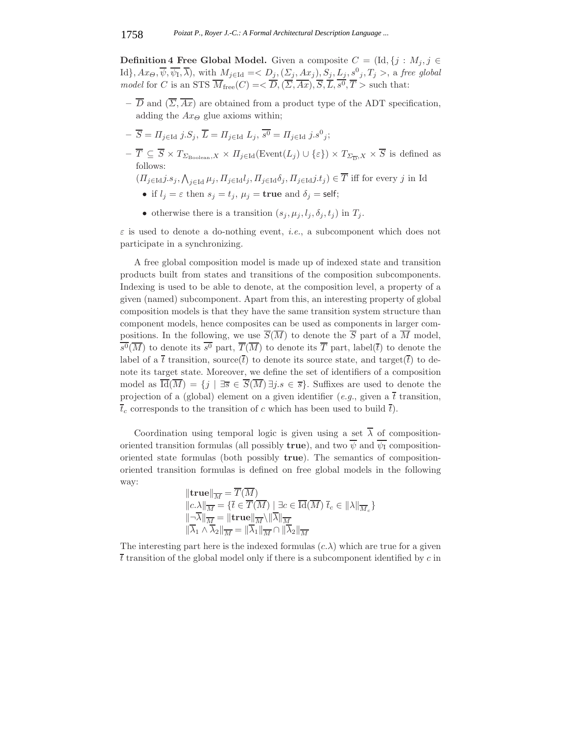**Definition 4 Free Global Model.** Given a composite  $C = (\text{Id}, \{j : M_j, j \in \mathbb{R}\})$  $\text{Id}\}, Ax_{\Theta}, \overline{\psi}, \overline{\psi_1}, \overline{\lambda}), \text{ with } M_{j \in \text{Id}} = \langle D_j, (\Sigma_j, Ax_j), S_j, L_j, s^0{}_j, T_j \rangle, \text{ a free global }$ *model* for C is an STS  $\overline{M}_{\text{free}}(C) = \langle \overline{D}, (\overline{\Sigma}, \overline{Ax}), \overline{S}, \overline{L}, \overline{s^0}, \overline{T} \rangle$  such that:

- $-\overline{D}$  and  $(\overline{\Sigma}, \overline{Ax})$  are obtained from a product type of the ADT specification, adding the  $Ax_{\Theta}$  glue axioms within;
- $-\overline{S} = \Pi_{j \in \text{Id}} j.S_j, \overline{L} = \Pi_{j \in \text{Id}} L_j, \overline{s^0} = \Pi_{j \in \text{Id}} j.s^0_j;$
- $-\overline{T} \subseteq \overline{S} \times T_{\Sigma_{\text{Boolean}},X} \times \overline{H}_{j \in \text{Id}}(\text{Event}(L_j) \cup \{\varepsilon\}) \times T_{\Sigma_{\overline{D}},X} \times \overline{S}$  is defined as follows:

 $(\Pi_{j\in\text{Id}}j.s_j,\bigwedge_{j\in\text{Id}}\mu_j,\Pi_{j\in\text{Id}}l_j,\Pi_{j\in\text{Id}}\delta_j,\Pi_{j\in\text{Id}}j.t_j)\in\overline{T}$  iff for every j in Id

- if  $l_j = \varepsilon$  then  $s_j = t_j$ ,  $\mu_j =$  **true** and  $\delta_j =$  self;
- otherwise there is a transition  $(s_j, \mu_j, l_j, \delta_j, t_j)$  in  $T_j$ .

 $\varepsilon$  is used to denote a do-nothing event, *i.e.*, a subcomponent which does not participate in a synchronizing.

A free global composition model is made up of indexed state and transition products built from states and transitions of the composition subcomponents. Indexing is used to be able to denote, at the composition level, a property of a given (named) subcomponent. Apart from this, an interesting property of global composition models is that they have the same transition system structure than component models, hence composites can be used as components in larger compositions. In the following, we use  $\overline{S(\overline{M})}$  to denote the  $\overline{S}$  part of a  $\overline{M}$  model,  $\overline{s^0}(\overline{M})$  to denote its  $\overline{s^0}$  part,  $\overline{T}(\overline{M})$  to denote its  $\overline{T}$  part, label( $\overline{t}$ ) to denote the label of a  $\bar{t}$  transition, source( $\bar{t}$ ) to denote its source state, and target( $\bar{t}$ ) to denote its target state. Moreover, we define the set of identifiers of a composition model as  $\overline{\text{Id}(M)} = \{j \mid \exists \overline{s} \in \overline{S}(M) \exists j.s \in \overline{s}\}.$  Suffixes are used to denote the projection of a (global) element on a given identifier (*e.g.*, given a  $\bar{t}$  transition,  $\overline{t}_c$  corresponds to the transition of c which has been used to build  $\overline{t}$ ).

Coordination using temporal logic is given using a set  $\overline{\lambda}$  of compositionoriented transition formulas (all possibly **true**), and two  $\overline{\psi}$  and  $\overline{\psi}$  compositionoriented state formulas (both possibly **true**). The semantics of compositionoriented transition formulas is defined on free global models in the following way:

$$
\|\mathbf{true}\|_{\overline{M}} = \overline{T}(\overline{M})
$$
  

$$
\|c.\lambda\|_{\overline{M}} = \{\overline{t} \in \overline{T}(\overline{M}) \mid \exists c \in \overline{Id}(\overline{M}) \ \overline{t}_c \in \|\lambda\|_{\overline{M}_c}\}
$$
  

$$
\|\overline{\neg \lambda}\|_{\overline{M}} = \|\mathbf{true}\|_{\overline{M}} \setminus \|\overline{\lambda}\|_{\overline{M}}
$$
  

$$
\|\overline{\lambda}_1 \wedge \overline{\lambda}_2\|_{\overline{M}} = \|\overline{\lambda}_1\|_{\overline{M}} \cap \|\overline{\lambda}_2\|_{\overline{M}}
$$

The interesting part here is the indexed formulas  $(c.\lambda)$  which are true for a given  $\overline{t}$  transition of the global model only if there is a subcomponent identified by c in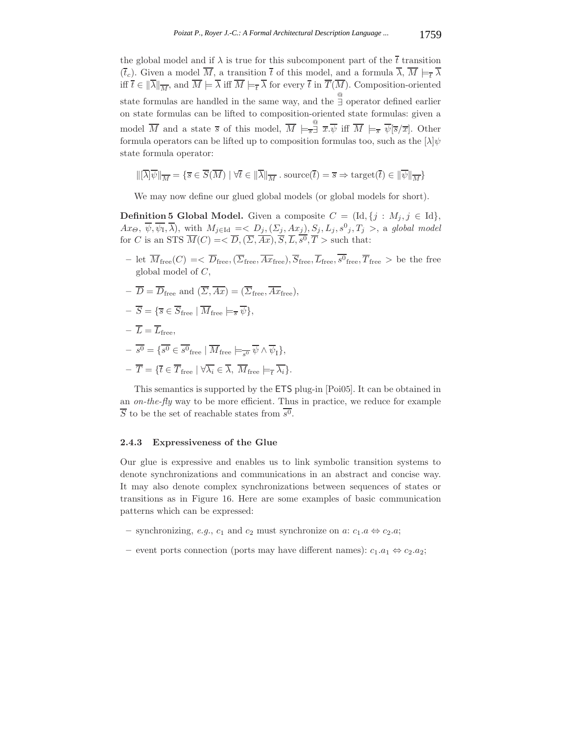the global model and if  $\lambda$  is true for this subcomponent part of the  $\overline{t}$  transition  $(\overline{t}_c)$ . Given a model  $\overline{M}$ , a transition  $\overline{t}$  of this model, and a formula  $\overline{\lambda}$ ,  $\overline{M} \models_{\overline{t}} \overline{\lambda}$ iff  $\overline{t} \in \|\overline{\lambda}\|_{\overline{M}}$ , and  $\overline{M} \models \overline{\lambda}$  iff  $\overline{M} \models_{\overline{t}} \overline{\lambda}$  for every  $\overline{t}$  in  $\overline{T}(\overline{M})$ . Composition-oriented state formulas are handled in the same way, and the  $\frac{a}{\exists}$  operator defined earlier on state formulas can be lifted to composition-oriented state formulas: given a model  $\overline{M}$  and a state  $\overline{s}$  of this model,  $\overline{M} \models_{\overline{s}} \overline{x}$  iff  $\overline{M} \models_{\overline{s}} \overline{\psi}[\overline{s}/\overline{x}]$ . Other formula operators can be lifted up to composition formulas too, such as the  $[\lambda]\psi$ state formula operator:

$$
\|\left[\overline{\lambda}\right]\overline{\psi}\|_{\overline{M}} = \{\overline{s} \in \overline{S}(\overline{M}) \mid \forall \overline{t} \in \|\overline{\lambda}\|_{\overline{M}} : \mathrm{source}(\overline{t}) = \overline{s} \Rightarrow \mathrm{target}(\overline{t}) \in \|\overline{\psi}\|_{\overline{M}}\}
$$

We may now define our glued global models (or global models for short).

**Definition 5 Global Model.** Given a composite  $C = (\text{Id}, \{j : M_j, j \in \text{Id}\},\)$  $Ax_{\Theta}, \overline{\psi}, \overline{\psi_1}, \overline{\lambda}$ , with  $M_{j \in \text{Id}} = D_j, (\Sigma_j, Ax_j), S_j, L_j, s^0{}_j, T_j >$ , a global model for C is an STS  $\overline{M}(C) = \langle \overline{D},(\overline{\Sigma},\overline{Ax}), \overline{S}, \overline{L}, \overline{s^0}, \overline{T} \rangle$  such that:

- let  $\overline{M}_{\text{free}}(C) = \langle \overline{D}_{\text{free}}, \overline{Z}_{\text{free}}, \overline{Ax}_{\text{free}}, \overline{S}_{\text{free}}, \overline{L}_{\text{free}}, \overline{s^0}_{\text{free}}, \overline{T}_{\text{free}} \rangle$  be the free global model of C,
- $-\overline{D} = \overline{D}_{\text{free}}$  and  $(\overline{\Sigma}, \overline{Ax}) = (\overline{\Sigma}_{\text{free}}, \overline{Ax}_{\text{free}})$ ,
- $-\overline{S} = \{\overline{s} \in \overline{S}_{\text{free}} \mid \overline{M}_{\text{free}} \models_{\overline{s}} \overline{\psi}\},\$
- $-\overline{L} = \overline{L}_{\text{free}},$
- $-\overline{s^0} = \{\overline{s^0} \in \overline{s^0}_{\text{free}} \mid \overline{M}_{\text{free}} \models_{\neg \theta} \overline{\psi} \wedge \overline{\psi}_1\},\$  $-\overline{T} = \{\overline{t} \in \overline{T}_{\text{free}} \mid \forall \overline{\lambda_i} \in \overline{\lambda}, \ \overline{M}_{\text{free}} \models_{\overline{\tau}} \overline{\lambda_i}\}.$

This semantics is supported by the ETS plug-in [Poi05]. It can be obtained in an *on-the-fly* way to be more efficient. Thus in practice, we reduce for example  $\overline{S}$  to be the set of reachable states from  $\overline{s^0}$ .

## **2.4.3 Expressiveness of the Glue**

Our glue is expressive and enables us to link symbolic transition systems to denote synchronizations and communications in an abstract and concise way. It may also denote complex synchronizations between sequences of states or transitions as in Figure 16. Here are some examples of basic communication patterns which can be expressed:

- **−** synchronizing, *e.g.*,  $c_1$  and  $c_2$  must synchronize on *a*:  $c_1.a$  ⇔  $c_2.a$ ;
- event ports connection (ports may have different names):  $c_1.a_1$  ⇔  $c_2.a_2$ ;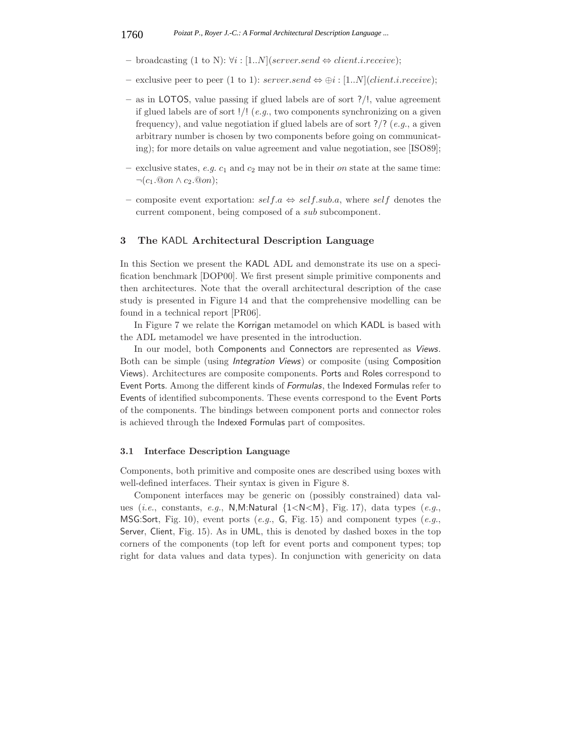- $−$  broadcasting (1 to N):  $\forall i$  : [1..*N*](server.send  $\Leftrightarrow$  client.*i.receive*);
- exclusive peer to peer (1 to 1): server.send  $\Leftrightarrow$  ⊕i : [1..N](*client.i.receive*);
- **–** as in LOTOS, value passing if glued labels are of sort ?/!, value agreement if glued labels are of sort !/! (*e.g.*, two components synchronizing on a given frequency), and value negotiation if glued labels are of sort ?/? (*e.g.*, a given arbitrary number is chosen by two components before going on communicating); for more details on value agreement and value negotiation, see [ISO89];
- exclusive states, *e.g.*  $c_1$  and  $c_2$  may not be in their *on* state at the same time:  $\neg(c_1.\textcircled{0}on \wedge c_2.\textcircled{0}on);$
- **–** composite event exportation: self.a ⇔ self.sub.a, where self denotes the current component, being composed of a sub subcomponent.

## **3 The** KADL **Architectural Description Language**

In this Section we present the KADL ADL and demonstrate its use on a specification benchmark [DOP00]. We first present simple primitive components and then architectures. Note that the overall architectural description of the case study is presented in Figure 14 and that the comprehensive modelling can be found in a technical report [PR06].

In Figure 7 we relate the Korrigan metamodel on which KADL is based with the ADL metamodel we have presented in the introduction.

In our model, both Components and Connectors are represented as *Views*. Both can be simple (using *Integration Views*) or composite (using Composition Views). Architectures are composite components. Ports and Roles correspond to Event Ports. Among the different kinds of *Formulas*, the Indexed Formulas refer to Events of identified subcomponents. These events correspond to the Event Ports of the components. The bindings between component ports and connector roles is achieved through the Indexed Formulas part of composites.

#### **3.1 Interface Description Language**

Components, both primitive and composite ones are described using boxes with well-defined interfaces. Their syntax is given in Figure 8.

Component interfaces may be generic on (possibly constrained) data values (*i.e.*, constants, *e.g.*, N,M:Natural {1<N<M}, Fig. 17), data types (*e.g.*, MSG:Sort, Fig. 10), event ports (*e.g.*, G, Fig. 15) and component types (*e.g.*, Server, Client, Fig. 15). As in UML, this is denoted by dashed boxes in the top corners of the components (top left for event ports and component types; top right for data values and data types). In conjunction with genericity on data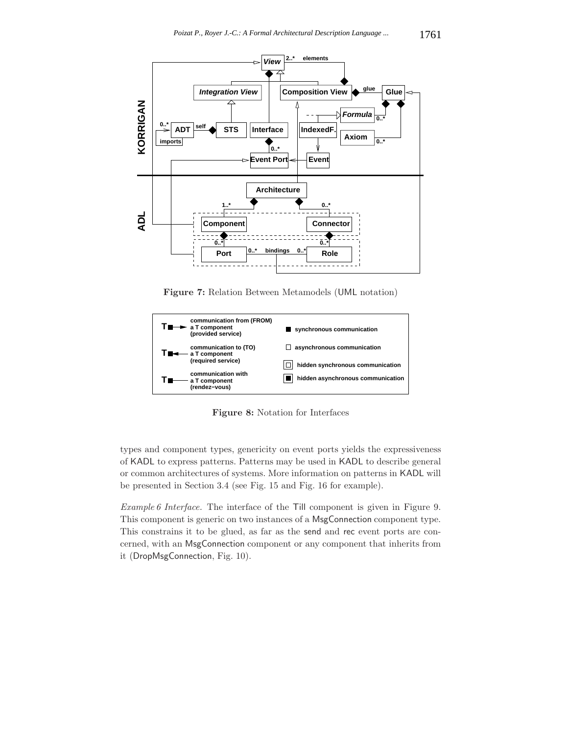

**Figure 7:** Relation Between Metamodels (UML notation)



**Figure 8:** Notation for Interfaces

types and component types, genericity on event ports yields the expressiveness of KADL to express patterns. Patterns may be used in KADL to describe general or common architectures of systems. More information on patterns in KADL will be presented in Section 3.4 (see Fig. 15 and Fig. 16 for example).

*Example 6 Interface.* The interface of the Till component is given in Figure 9. This component is generic on two instances of a MsgConnection component type. This constrains it to be glued, as far as the send and rec event ports are concerned, with an MsgConnection component or any component that inherits from it (DropMsgConnection, Fig. 10).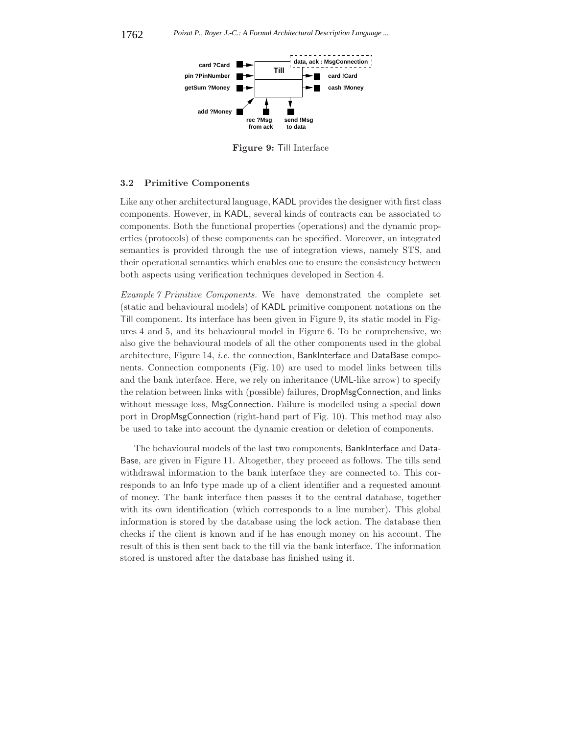

**Figure 9:** Till Interface

## **3.2 Primitive Components**

Like any other architectural language, KADL provides the designer with first class components. However, in KADL, several kinds of contracts can be associated to components. Both the functional properties (operations) and the dynamic properties (protocols) of these components can be specified. Moreover, an integrated semantics is provided through the use of integration views, namely STS, and their operational semantics which enables one to ensure the consistency between both aspects using verification techniques developed in Section 4.

*Example 7 Primitive Components.* We have demonstrated the complete set (static and behavioural models) of KADL primitive component notations on the Till component. Its interface has been given in Figure 9, its static model in Figures 4 and 5, and its behavioural model in Figure 6. To be comprehensive, we also give the behavioural models of all the other components used in the global architecture, Figure 14, *i.e.* the connection, BankInterface and DataBase components. Connection components (Fig. 10) are used to model links between tills and the bank interface. Here, we rely on inheritance (UML-like arrow) to specify the relation between links with (possible) failures, DropMsgConnection, and links without message loss, MsgConnection. Failure is modelled using a special down port in DropMsgConnection (right-hand part of Fig. 10). This method may also be used to take into account the dynamic creation or deletion of components.

The behavioural models of the last two components, BankInterface and Data-Base, are given in Figure 11. Altogether, they proceed as follows. The tills send withdrawal information to the bank interface they are connected to. This corresponds to an Info type made up of a client identifier and a requested amount of money. The bank interface then passes it to the central database, together with its own identification (which corresponds to a line number). This global information is stored by the database using the lock action. The database then checks if the client is known and if he has enough money on his account. The result of this is then sent back to the till via the bank interface. The information stored is unstored after the database has finished using it.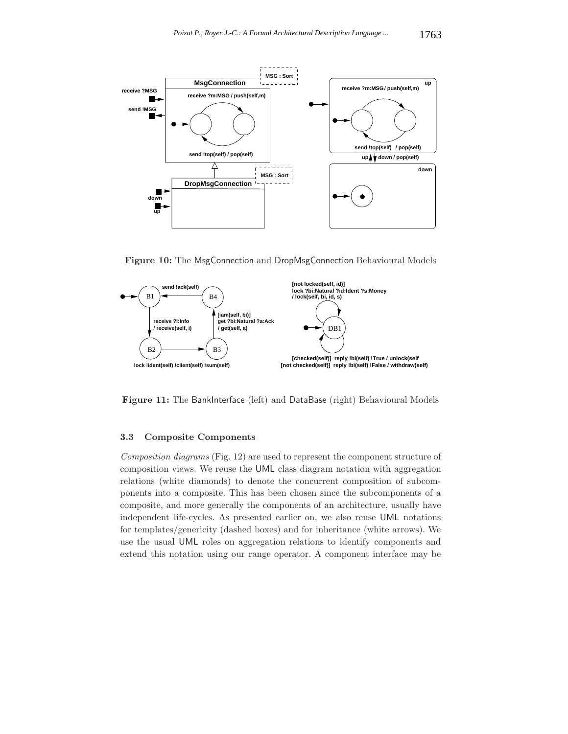

**Figure 10:** The MsgConnection and DropMsgConnection Behavioural Models



Figure 11: The BankInterface (left) and DataBase (right) Behavioural Models

## **3.3 Composite Components**

*Composition diagrams* (Fig. 12) are used to represent the component structure of composition views. We reuse the UML class diagram notation with aggregation relations (white diamonds) to denote the concurrent composition of subcomponents into a composite. This has been chosen since the subcomponents of a composite, and more generally the components of an architecture, usually have independent life-cycles. As presented earlier on, we also reuse UML notations for templates/genericity (dashed boxes) and for inheritance (white arrows). We use the usual UML roles on aggregation relations to identify components and extend this notation using our range operator. A component interface may be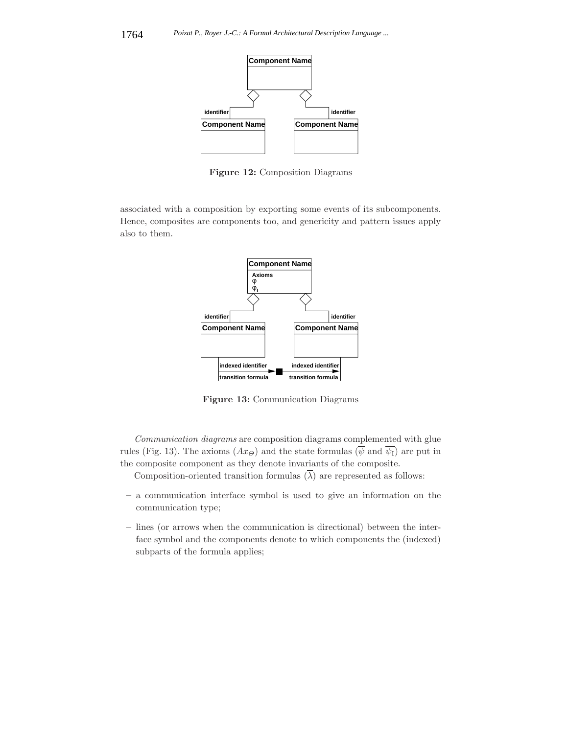

**Figure 12:** Composition Diagrams

associated with a composition by exporting some events of its subcomponents. Hence, composites are components too, and genericity and pattern issues apply also to them.



**Figure 13:** Communication Diagrams

*Communication diagrams* are composition diagrams complemented with glue rules (Fig. 13). The axioms  $(Ax_{\Theta})$  and the state formulas ( $\overline{\psi}$  and  $\overline{\psi_1}$ ) are put in the composite component as they denote invariants of the composite.

Composition-oriented transition formulas  $(\overline{\lambda})$  are represented as follows:

- **–** a communication interface symbol is used to give an information on the communication type;
- **–** lines (or arrows when the communication is directional) between the interface symbol and the components denote to which components the (indexed) subparts of the formula applies;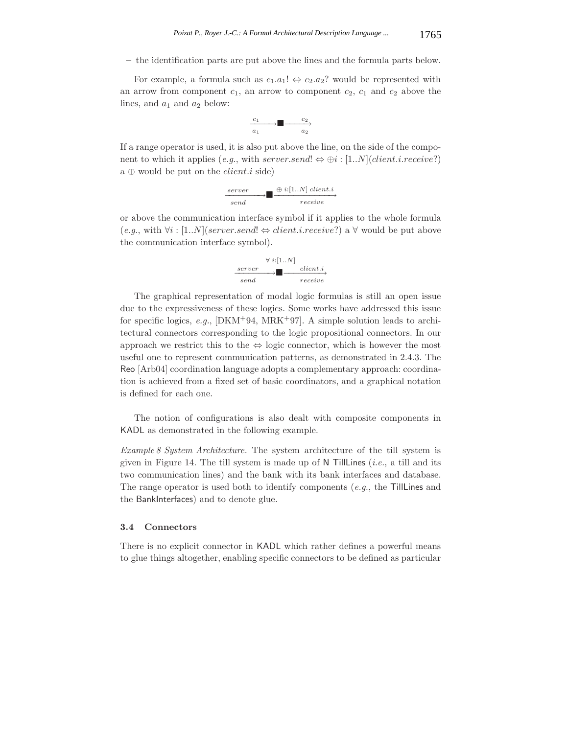**–** the identification parts are put above the lines and the formula parts below.

For example, a formula such as  $c_1.a_1! \Leftrightarrow c_2.a_2?$  would be represented with an arrow from component  $c_1$ , an arrow to component  $c_2$ ,  $c_1$  and  $c_2$  above the lines, and  $a_1$  and  $a_2$  below:

$$
\begin{array}{c}\n c_1 \\
 \hline\n a_1\n\end{array}\n\longrightarrow\n\begin{array}{c}\n c_2 \\
 \hline\n a_2\n\end{array}
$$

If a range operator is used, it is also put above the line, on the side of the component to which it applies (*e.g.*, with server.send!  $\Leftrightarrow \bigoplus i : [1..N]$  (*client.i.receive*?) a  $\oplus$  would be put on the *client.i* side)

$$
\xrightarrow{\text{server}} \longrightarrow \blacksquare \xrightarrow{\oplus i:[1..N] \text{ client.}i} \text{receive}
$$

or above the communication interface symbol if it applies to the whole formula  $(e.g., with \forall i : [1..N] (server. send! \Leftrightarrow client.i. receive?) \land \forall$  would be put above the communication interface symbol).

$$
\begin{array}{c}\n\forall i:[1..N] \\
\hline\n\text{server} \\
\hline\n\end{array}\n\longrightarrow\n\blacksquare\n\begin{array}{c}\n\text{client.i} \\
\hline\n\end{array}
$$

The graphical representation of modal logic formulas is still an open issue due to the expressiveness of these logics. Some works have addressed this issue for specific logics, *e.g.*,  $[DKM+94, MRK+97]$ . A simple solution leads to architectural connectors corresponding to the logic propositional connectors. In our approach we restrict this to the  $\Leftrightarrow$  logic connector, which is however the most useful one to represent communication patterns, as demonstrated in 2.4.3. The Reo [Arb04] coordination language adopts a complementary approach: coordination is achieved from a fixed set of basic coordinators, and a graphical notation is defined for each one.

The notion of configurations is also dealt with composite components in KADL as demonstrated in the following example.

*Example 8 System Architecture.* The system architecture of the till system is given in Figure 14. The till system is made up of N TillLines (*i.e.*, a till and its two communication lines) and the bank with its bank interfaces and database. The range operator is used both to identify components (*e.g.*, the TillLines and the BankInterfaces) and to denote glue.

#### **3.4 Connectors**

There is no explicit connector in KADL which rather defines a powerful means to glue things altogether, enabling specific connectors to be defined as particular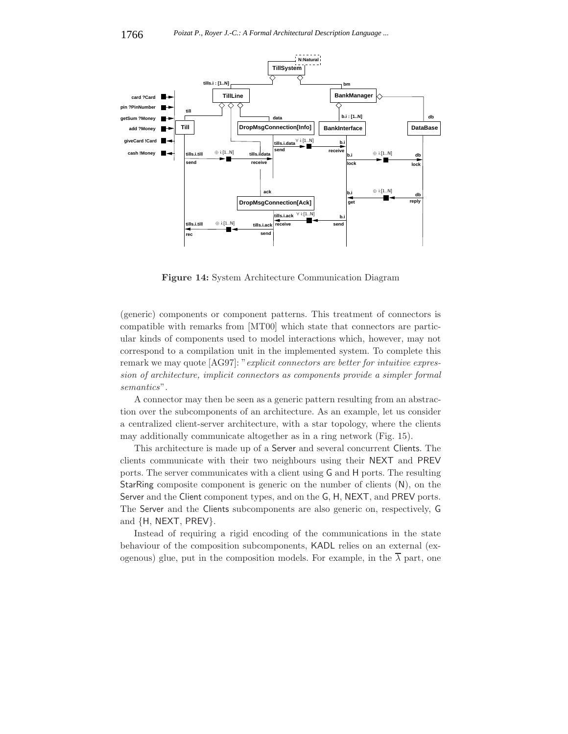

**Figure 14:** System Architecture Communication Diagram

(generic) components or component patterns. This treatment of connectors is compatible with remarks from [MT00] which state that connectors are particular kinds of components used to model interactions which, however, may not correspond to a compilation unit in the implemented system. To complete this remark we may quote [AG97]: "*explicit connectors are better for intuitive expression of architecture, implicit connectors as components provide a simpler formal semantics*".

A connector may then be seen as a generic pattern resulting from an abstraction over the subcomponents of an architecture. As an example, let us consider a centralized client-server architecture, with a star topology, where the clients may additionally communicate altogether as in a ring network (Fig. 15).

This architecture is made up of a Server and several concurrent Clients. The clients communicate with their two neighbours using their NEXT and PREV ports. The server communicates with a client using G and H ports. The resulting StarRing composite component is generic on the number of clients (N), on the Server and the Client component types, and on the G, H, NEXT, and PREV ports. The Server and the Clients subcomponents are also generic on, respectively, G and {H, NEXT, PREV}.

Instead of requiring a rigid encoding of the communications in the state behaviour of the composition subcomponents, KADL relies on an external (exogenous) glue, put in the composition models. For example, in the  $\overline{\lambda}$  part, one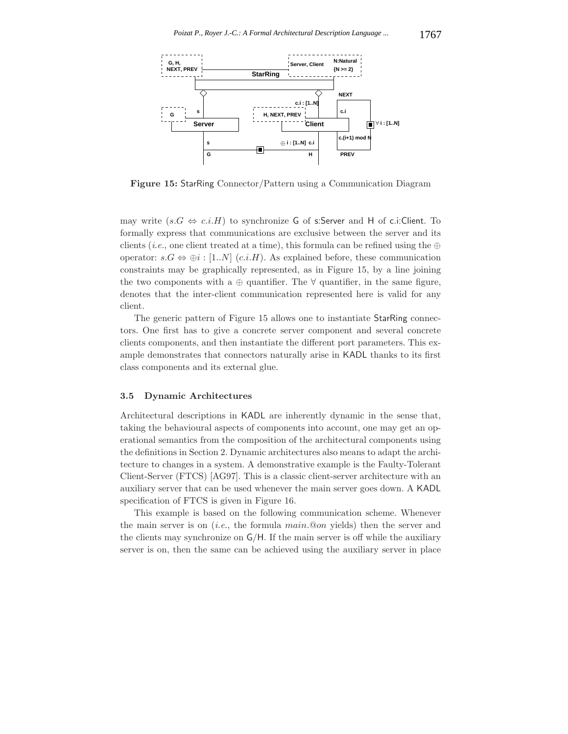

**Figure 15:** StarRing Connector/Pattern using a Communication Diagram

may write  $(s.G \Leftrightarrow c.i.H)$  to synchronize G of s:Server and H of c.i:Client. To formally express that communications are exclusive between the server and its clients (*i.e.*, one client treated at a time), this formula can be refined using the  $oplus$ operator:  $s.G \Leftrightarrow \oplus i : [1..N]$  (c.*i.H*). As explained before, these communication constraints may be graphically represented, as in Figure 15, by a line joining the two components with a  $\oplus$  quantifier. The  $\forall$  quantifier, in the same figure, denotes that the inter-client communication represented here is valid for any client.

The generic pattern of Figure 15 allows one to instantiate StarRing connectors. One first has to give a concrete server component and several concrete clients components, and then instantiate the different port parameters. This example demonstrates that connectors naturally arise in KADL thanks to its first class components and its external glue.

## **3.5 Dynamic Architectures**

Architectural descriptions in KADL are inherently dynamic in the sense that, taking the behavioural aspects of components into account, one may get an operational semantics from the composition of the architectural components using the definitions in Section 2. Dynamic architectures also means to adapt the architecture to changes in a system. A demonstrative example is the Faulty-Tolerant Client-Server (FTCS) [AG97]. This is a classic client-server architecture with an auxiliary server that can be used whenever the main server goes down. A KADL specification of FTCS is given in Figure 16.

This example is based on the following communication scheme. Whenever the main server is on (*i.e.*, the formula main.@on yields) then the server and the clients may synchronize on G/H. If the main server is off while the auxiliary server is on, then the same can be achieved using the auxiliary server in place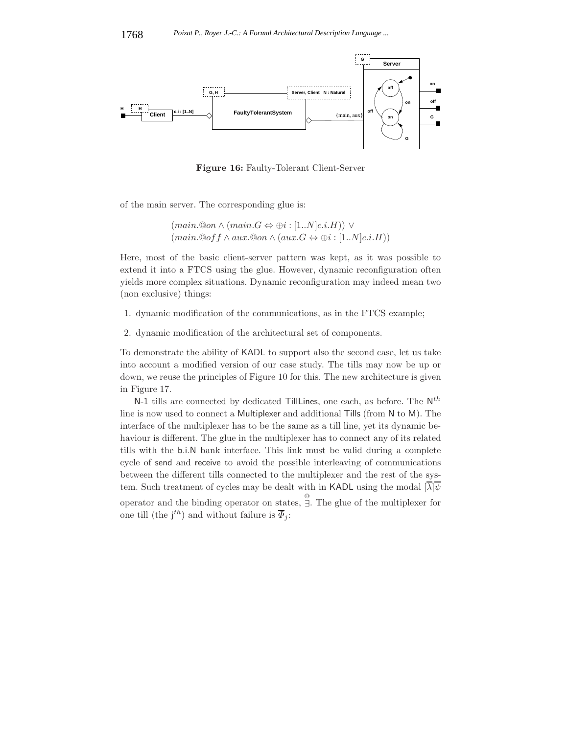

**Figure 16:** Faulty-Tolerant Client-Server

of the main server. The corresponding glue is:

 $(\text{main}.\mathbb{Q}\text{on}\wedge(\text{main}.G\Leftrightarrow\oplus i:[1..N]c.i.H))\vee$  $(\textit{main}.\textcircled{a}off \wedge \textit{aux}.\textcircled{a}on \wedge (\textit{aux}.G \Leftrightarrow \oplus i : [1..N]c.i.H))$ 

Here, most of the basic client-server pattern was kept, as it was possible to extend it into a FTCS using the glue. However, dynamic reconfiguration often yields more complex situations. Dynamic reconfiguration may indeed mean two (non exclusive) things:

- 1. dynamic modification of the communications, as in the FTCS example;
- 2. dynamic modification of the architectural set of components.

To demonstrate the ability of KADL to support also the second case, let us take into account a modified version of our case study. The tills may now be up or down, we reuse the principles of Figure 10 for this. The new architecture is given in Figure 17.

N-1 tills are connected by dedicated TillLines, one each, as before. The  $N^{th}$ line is now used to connect a Multiplexer and additional Tills (from N to M). The interface of the multiplexer has to be the same as a till line, yet its dynamic behaviour is different. The glue in the multiplexer has to connect any of its related tills with the b.i.N bank interface. This link must be valid during a complete cycle of send and receive to avoid the possible interleaving of communications between the different tills connected to the multiplexer and the rest of the system. Such treatment of cycles may be dealt with in KADL using the modal  $[\lambda]\psi$ operator and the binding operator on states,  $\overline{\overset{\circ}{\exists}}$ . The glue of the multiplexer for one till (the j<sup>th</sup>) and without failure is  $\overline{\Phi}_j$ :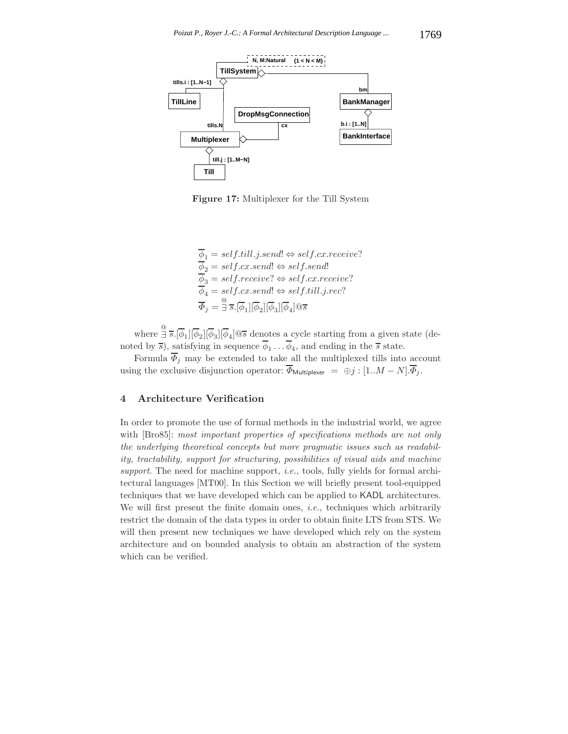

**Figure 17:** Multiplexer for the Till System

 $\overline{\phi}_1 = \textit{self.till.}j.\textit{send!} \Leftrightarrow \textit{self.cx.receive?}$  $\overline{\phi}_2 = \textit{self.cx.send}! \Leftrightarrow \textit{self.send}!$  $\overline{\phi}_3 = self.receive? \Leftrightarrow self.cx.receive?$  $\overline{\phi}_4 = self.cx.send! \Leftrightarrow self.till.j.rec?$  $\overline{\varPhi}_{j}=\overset{\textcircled{\textit{i}}}{\exists}\;\overline{s} . [\overline{\phi}_{1}][\overline{\phi}_{2}][\overline{\phi}_{3}][\overline{\phi}_{4}]\textcircled{\scriptsize{3}}\;$ 

where  $\frac{\mathbb{Q}}{\exists \delta} \cdot [\overline{\phi}_1][\overline{\phi}_2][\overline{\phi}_3][\overline{\phi}_4] \mathbb{Q}$  denotes a cycle starting from a given state (denoted by  $\overline{s}$ ), satisfying in sequence  $\overline{\phi}_1 \dots \overline{\phi}_4$ , and ending in the  $\overline{s}$  state.

Formula  $\overline{\Phi}_j$  may be extended to take all the multiplexed tills into account using the exclusive disjunction operator:  $\overline{\Phi}_{\text{Multiplexer}} = \oplus j : [1..M-N].\overline{\Phi}_j.$ 

## **4 Architecture Verification**

In order to promote the use of formal methods in the industrial world, we agree with [Bro85]: *most important properties of specifications methods are not only the underlying theoretical concepts but more pragmatic issues such as readability, tractability, support for structuring, possibilities of visual aids and machine support*. The need for machine support, *i.e.*, tools, fully yields for formal architectural languages [MT00]. In this Section we will briefly present tool-equipped techniques that we have developed which can be applied to KADL architectures. We will first present the finite domain ones, *i.e.*, techniques which arbitrarily restrict the domain of the data types in order to obtain finite LTS from STS. We will then present new techniques we have developed which rely on the system architecture and on bounded analysis to obtain an abstraction of the system which can be verified.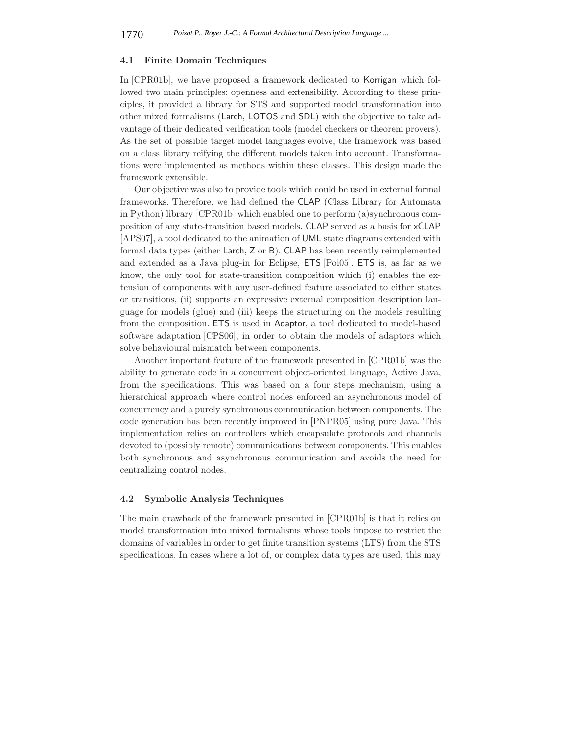#### **4.1 Finite Domain Techniques**

In [CPR01b], we have proposed a framework dedicated to Korrigan which followed two main principles: openness and extensibility. According to these principles, it provided a library for STS and supported model transformation into other mixed formalisms (Larch, LOTOS and SDL) with the objective to take advantage of their dedicated verification tools (model checkers or theorem provers). As the set of possible target model languages evolve, the framework was based on a class library reifying the different models taken into account. Transformations were implemented as methods within these classes. This design made the framework extensible.

Our objective was also to provide tools which could be used in external formal frameworks. Therefore, we had defined the CLAP (Class Library for Automata in Python) library [CPR01b] which enabled one to perform (a)synchronous composition of any state-transition based models. CLAP served as a basis for xCLAP [APS07], a tool dedicated to the animation of UML state diagrams extended with formal data types (either Larch, Z or B). CLAP has been recently reimplemented and extended as a Java plug-in for Eclipse, ETS [Poi05]. ETS is, as far as we know, the only tool for state-transition composition which (i) enables the extension of components with any user-defined feature associated to either states or transitions, (ii) supports an expressive external composition description language for models (glue) and (iii) keeps the structuring on the models resulting from the composition. ETS is used in Adaptor, a tool dedicated to model-based software adaptation [CPS06], in order to obtain the models of adaptors which solve behavioural mismatch between components.

Another important feature of the framework presented in [CPR01b] was the ability to generate code in a concurrent object-oriented language, Active Java, from the specifications. This was based on a four steps mechanism, using a hierarchical approach where control nodes enforced an asynchronous model of concurrency and a purely synchronous communication between components. The code generation has been recently improved in [PNPR05] using pure Java. This implementation relies on controllers which encapsulate protocols and channels devoted to (possibly remote) communications between components. This enables both synchronous and asynchronous communication and avoids the need for centralizing control nodes.

## **4.2 Symbolic Analysis Techniques**

The main drawback of the framework presented in [CPR01b] is that it relies on model transformation into mixed formalisms whose tools impose to restrict the domains of variables in order to get finite transition systems (LTS) from the STS specifications. In cases where a lot of, or complex data types are used, this may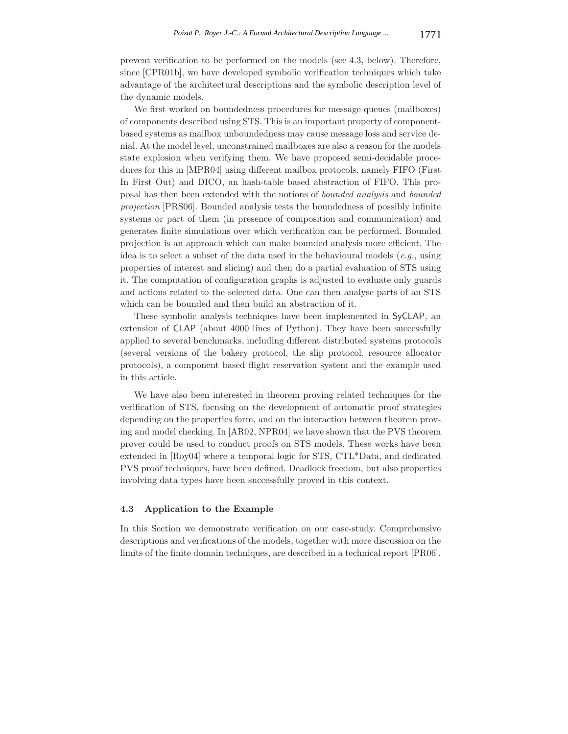prevent verification to be performed on the models (see 4.3, below). Therefore, since [CPR01b], we have developed symbolic verification techniques which take advantage of the architectural descriptions and the symbolic description level of the dynamic models.

We first worked on boundedness procedures for message queues (mailboxes) of components described using STS. This is an important property of componentbased systems as mailbox unboundedness may cause message loss and service denial. At the model level, unconstrained mailboxes are also a reason for the models state explosion when verifying them. We have proposed semi-decidable procedures for this in [MPR04] using different mailbox protocols, namely FIFO (First In First Out) and DICO, an hash-table based abstraction of FIFO. This proposal has then been extended with the notions of *bounded analysis* and *bounded projection* [PRS06]. Bounded analysis tests the boundedness of possibly infinite systems or part of them (in presence of composition and communication) and generates finite simulations over which verification can be performed. Bounded projection is an approach which can make bounded analysis more efficient. The idea is to select a subset of the data used in the behavioural models (*e.g.*, using properties of interest and slicing) and then do a partial evaluation of STS using it. The computation of configuration graphs is adjusted to evaluate only guards and actions related to the selected data. One can then analyse parts of an STS which can be bounded and then build an abstraction of it.

These symbolic analysis techniques have been implemented in SyCLAP, an extension of CLAP (about 4000 lines of Python). They have been successfully applied to several benchmarks, including different distributed systems protocols (several versions of the bakery protocol, the slip protocol, resource allocator protocols), a component based flight reservation system and the example used in this article.

We have also been interested in theorem proving related techniques for the verification of STS, focusing on the development of automatic proof strategies depending on the properties form, and on the interaction between theorem proving and model checking. In [AR02, NPR04] we have shown that the PVS theorem prover could be used to conduct proofs on STS models. These works have been extended in [Roy04] where a temporal logic for STS, CTL\*Data, and dedicated PVS proof techniques, have been defined. Deadlock freedom, but also properties involving data types have been successfully proved in this context.

## **4.3 Application to the Example**

In this Section we demonstrate verification on our case-study. Comprehensive descriptions and verifications of the models, together with more discussion on the limits of the finite domain techniques, are described in a technical report [PR06].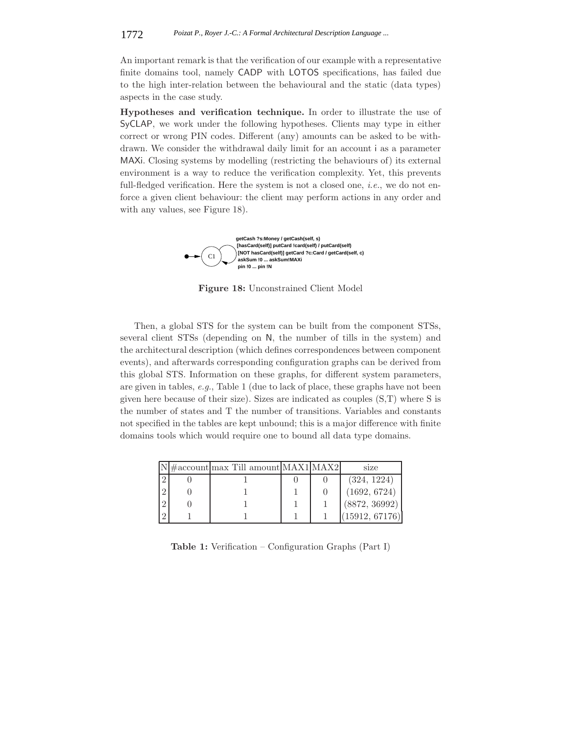An important remark is that the verification of our example with a representative finite domains tool, namely CADP with LOTOS specifications, has failed due to the high inter-relation between the behavioural and the static (data types) aspects in the case study.

**Hypotheses and verification technique.** In order to illustrate the use of SyCLAP, we work under the following hypotheses. Clients may type in either correct or wrong PIN codes. Different (any) amounts can be asked to be withdrawn. We consider the withdrawal daily limit for an account i as a parameter MAXi. Closing systems by modelling (restricting the behaviours of) its external environment is a way to reduce the verification complexity. Yet, this prevents full-fledged verification. Here the system is not a closed one, *i.e.*, we do not enforce a given client behaviour: the client may perform actions in any order and with any values, see Figure 18).



**Figure 18:** Unconstrained Client Model

Then, a global STS for the system can be built from the component STSs, several client STSs (depending on N, the number of tills in the system) and the architectural description (which defines correspondences between component events), and afterwards corresponding configuration graphs can be derived from this global STS. Information on these graphs, for different system parameters, are given in tables, *e.g.*, Table 1 (due to lack of place, these graphs have not been given here because of their size). Sizes are indicated as couples (S,T) where S is the number of states and T the number of transitions. Variables and constants not specified in the tables are kept unbound; this is a major difference with finite domains tools which would require one to bound all data type domains.

|                | $N \# account max$ Till amount MAX1 MAX2 |  | size           |
|----------------|------------------------------------------|--|----------------|
| $\Omega$       |                                          |  | (324, 1224)    |
| $\overline{2}$ |                                          |  | (1692, 6724)   |
| $\overline{2}$ |                                          |  | (8872, 36992)  |
|                |                                          |  | (15912, 67176) |

**Table 1:** Verification – Configuration Graphs (Part I)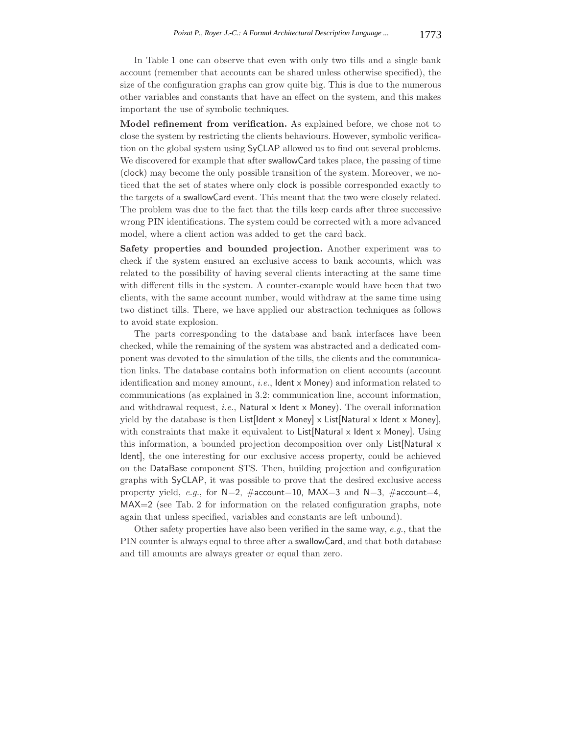In Table 1 one can observe that even with only two tills and a single bank account (remember that accounts can be shared unless otherwise specified), the size of the configuration graphs can grow quite big. This is due to the numerous other variables and constants that have an effect on the system, and this makes important the use of symbolic techniques.

**Model refinement from verification.** As explained before, we chose not to close the system by restricting the clients behaviours. However, symbolic verification on the global system using SyCLAP allowed us to find out several problems. We discovered for example that after swallowCard takes place, the passing of time (clock) may become the only possible transition of the system. Moreover, we noticed that the set of states where only clock is possible corresponded exactly to the targets of a swallowCard event. This meant that the two were closely related. The problem was due to the fact that the tills keep cards after three successive wrong PIN identifications. The system could be corrected with a more advanced model, where a client action was added to get the card back.

**Safety properties and bounded projection.** Another experiment was to check if the system ensured an exclusive access to bank accounts, which was related to the possibility of having several clients interacting at the same time with different tills in the system. A counter-example would have been that two clients, with the same account number, would withdraw at the same time using two distinct tills. There, we have applied our abstraction techniques as follows to avoid state explosion.

The parts corresponding to the database and bank interfaces have been checked, while the remaining of the system was abstracted and a dedicated component was devoted to the simulation of the tills, the clients and the communication links. The database contains both information on client accounts (account identification and money amount, *i.e.*, Ident x Money) and information related to communications (as explained in 3.2: communication line, account information, and withdrawal request, *i.e.*, Natural x Ident x Money). The overall information yield by the database is then  $List[Ident \times Money] \times List[Natural \times Ident \times Money]$ , with constraints that make it equivalent to List[Natural x Ident x Money]. Using this information, a bounded projection decomposition over only List[Natural x Ident], the one interesting for our exclusive access property, could be achieved on the DataBase component STS. Then, building projection and configuration graphs with SyCLAP, it was possible to prove that the desired exclusive access property yield, *e.g.*, for N=2, #account=10, MAX=3 and N=3, #account=4, MAX=2 (see Tab. 2 for information on the related configuration graphs, note again that unless specified, variables and constants are left unbound).

Other safety properties have also been verified in the same way, *e.g.*, that the PIN counter is always equal to three after a swallowCard, and that both database and till amounts are always greater or equal than zero.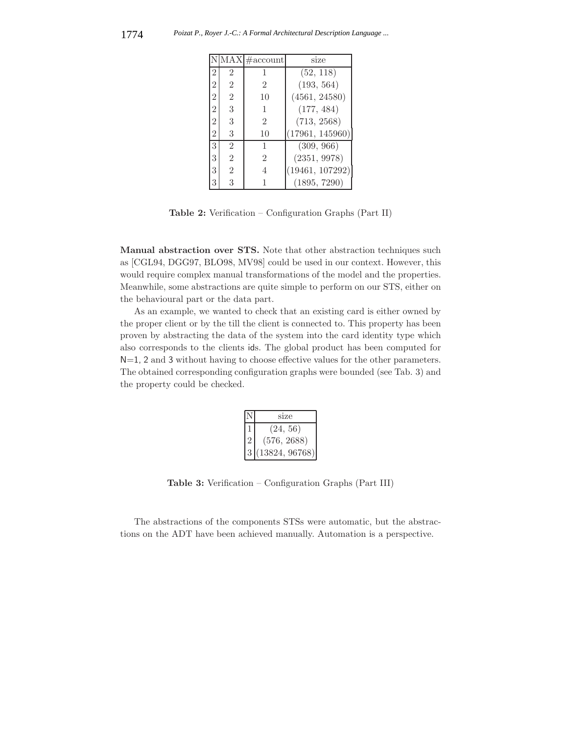|                |                | MAX #account   | size            |  |
|----------------|----------------|----------------|-----------------|--|
| 2              | $\overline{2}$ |                | (52, 118)       |  |
| $\overline{2}$ | $\overline{2}$ | $\mathfrak{D}$ | (193, 564)      |  |
| $\overline{2}$ | $\overline{2}$ | 10             | (4561, 24580)   |  |
| $\overline{2}$ | 3              | 1              | (177, 484)      |  |
| $\,2$          | 3              | 2              | (713, 2568)     |  |
| $\overline{2}$ | 3              | 10             | (17961, 145960) |  |
| 3              | $\mathfrak{D}$ | 1              | (309, 966)      |  |
| 3              | $\overline{2}$ | $\overline{2}$ | (2351, 9978)    |  |
| 3              | $\overline{2}$ | 4              | (19461, 107292) |  |
|                | 3              |                | (1895, 7290)    |  |

**Table 2:** Verification – Configuration Graphs (Part II)

**Manual abstraction over STS.** Note that other abstraction techniques such as [CGL94, DGG97, BLO98, MV98] could be used in our context. However, this would require complex manual transformations of the model and the properties. Meanwhile, some abstractions are quite simple to perform on our STS, either on the behavioural part or the data part.

As an example, we wanted to check that an existing card is either owned by the proper client or by the till the client is connected to. This property has been proven by abstracting the data of the system into the card identity type which also corresponds to the clients ids. The global product has been computed for N=1, 2 and 3 without having to choose effective values for the other parameters. The obtained corresponding configuration graphs were bounded (see Tab. 3) and the property could be checked.

|  | size           |
|--|----------------|
|  | (24, 56)       |
|  | (576, 2688)    |
|  | (13824, 96768) |

**Table 3:** Verification – Configuration Graphs (Part III)

The abstractions of the components STSs were automatic, but the abstractions on the ADT have been achieved manually. Automation is a perspective.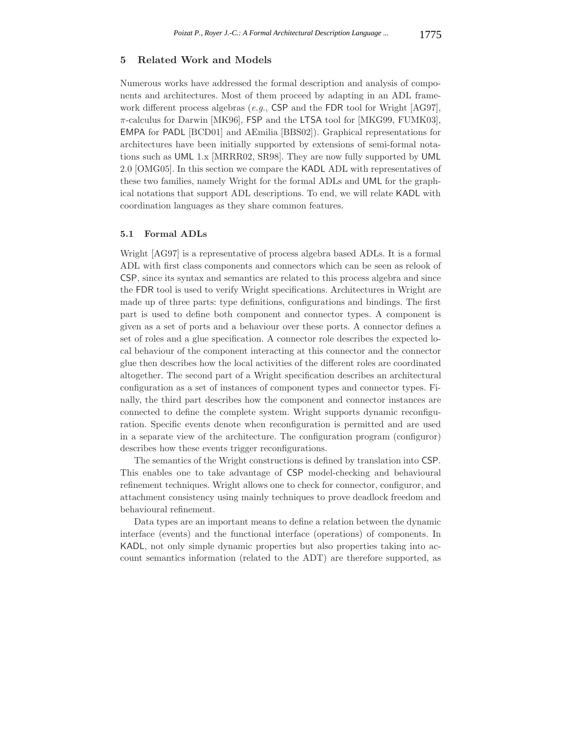## **5 Related Work and Models**

Numerous works have addressed the formal description and analysis of components and architectures. Most of them proceed by adapting in an ADL framework different process algebras (*e.g.*, CSP and the FDR tool for Wright [AG97],  $\pi$ -calculus for Darwin [MK96], FSP and the LTSA tool for [MKG99, FUMK03], EMPA for PADL [BCD01] and AEmilia [BBS02]). Graphical representations for architectures have been initially supported by extensions of semi-formal notations such as UML 1.x [MRRR02, SR98]. They are now fully supported by UML 2.0 [OMG05]. In this section we compare the KADL ADL with representatives of these two families, namely Wright for the formal ADLs and UML for the graphical notations that support ADL descriptions. To end, we will relate KADL with coordination languages as they share common features.

## **5.1 Formal ADLs**

Wright [AG97] is a representative of process algebra based ADLs. It is a formal ADL with first class components and connectors which can be seen as relook of CSP, since its syntax and semantics are related to this process algebra and since the FDR tool is used to verify Wright specifications. Architectures in Wright are made up of three parts: type definitions, configurations and bindings. The first part is used to define both component and connector types. A component is given as a set of ports and a behaviour over these ports. A connector defines a set of roles and a glue specification. A connector role describes the expected local behaviour of the component interacting at this connector and the connector glue then describes how the local activities of the different roles are coordinated altogether. The second part of a Wright specification describes an architectural configuration as a set of instances of component types and connector types. Finally, the third part describes how the component and connector instances are connected to define the complete system. Wright supports dynamic reconfiguration. Specific events denote when reconfiguration is permitted and are used in a separate view of the architecture. The configuration program (configuror) describes how these events trigger reconfigurations.

The semantics of the Wright constructions is defined by translation into CSP. This enables one to take advantage of CSP model-checking and behavioural refinement techniques. Wright allows one to check for connector, configuror, and attachment consistency using mainly techniques to prove deadlock freedom and behavioural refinement.

Data types are an important means to define a relation between the dynamic interface (events) and the functional interface (operations) of components. In KADL, not only simple dynamic properties but also properties taking into account semantics information (related to the ADT) are therefore supported, as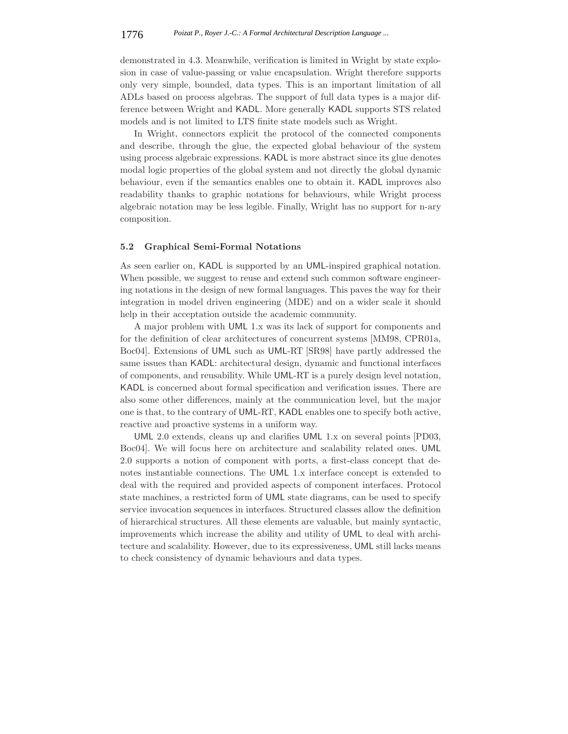demonstrated in 4.3. Meanwhile, verification is limited in Wright by state explosion in case of value-passing or value encapsulation. Wright therefore supports only very simple, bounded, data types. This is an important limitation of all ADLs based on process algebras. The support of full data types is a major difference between Wright and KADL. More generally KADL supports STS related models and is not limited to LTS finite state models such as Wright.

In Wright, connectors explicit the protocol of the connected components and describe, through the glue, the expected global behaviour of the system using process algebraic expressions. KADL is more abstract since its glue denotes modal logic properties of the global system and not directly the global dynamic behaviour, even if the semantics enables one to obtain it. KADL improves also readability thanks to graphic notations for behaviours, while Wright process algebraic notation may be less legible. Finally, Wright has no support for n-ary composition.

## **5.2 Graphical Semi-Formal Notations**

As seen earlier on, KADL is supported by an UML-inspired graphical notation. When possible, we suggest to reuse and extend such common software engineering notations in the design of new formal languages. This paves the way for their integration in model driven engineering (MDE) and on a wider scale it should help in their acceptation outside the academic community.

A major problem with UML 1.x was its lack of support for components and for the definition of clear architectures of concurrent systems [MM98, CPR01a, Boc04]. Extensions of UML such as UML-RT [SR98] have partly addressed the same issues than KADL: architectural design, dynamic and functional interfaces of components, and reusability. While UML-RT is a purely design level notation, KADL is concerned about formal specification and verification issues. There are also some other differences, mainly at the communication level, but the major one is that, to the contrary of UML-RT, KADL enables one to specify both active, reactive and proactive systems in a uniform way.

UML 2.0 extends, cleans up and clarifies UML 1.x on several points [PD03, Boc04]. We will focus here on architecture and scalability related ones. UML 2.0 supports a notion of component with ports, a first-class concept that denotes instantiable connections. The UML 1.x interface concept is extended to deal with the required and provided aspects of component interfaces. Protocol state machines, a restricted form of UML state diagrams, can be used to specify service invocation sequences in interfaces. Structured classes allow the definition of hierarchical structures. All these elements are valuable, but mainly syntactic, improvements which increase the ability and utility of UML to deal with architecture and scalability. However, due to its expressiveness, UML still lacks means to check consistency of dynamic behaviours and data types.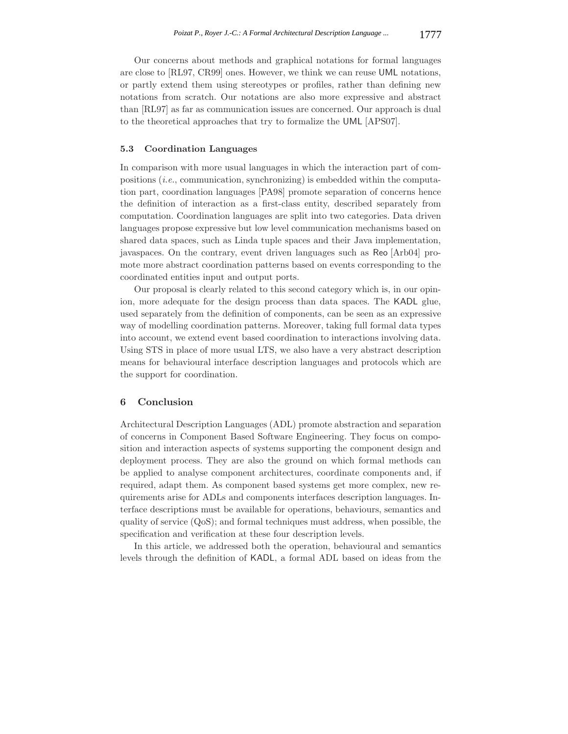Our concerns about methods and graphical notations for formal languages are close to [RL97, CR99] ones. However, we think we can reuse UML notations, or partly extend them using stereotypes or profiles, rather than defining new notations from scratch. Our notations are also more expressive and abstract than [RL97] as far as communication issues are concerned. Our approach is dual to the theoretical approaches that try to formalize the UML [APS07].

## **5.3 Coordination Languages**

In comparison with more usual languages in which the interaction part of compositions (*i.e.*, communication, synchronizing) is embedded within the computation part, coordination languages [PA98] promote separation of concerns hence the definition of interaction as a first-class entity, described separately from computation. Coordination languages are split into two categories. Data driven languages propose expressive but low level communication mechanisms based on shared data spaces, such as Linda tuple spaces and their Java implementation, javaspaces. On the contrary, event driven languages such as Reo [Arb04] promote more abstract coordination patterns based on events corresponding to the coordinated entities input and output ports.

Our proposal is clearly related to this second category which is, in our opinion, more adequate for the design process than data spaces. The KADL glue, used separately from the definition of components, can be seen as an expressive way of modelling coordination patterns. Moreover, taking full formal data types into account, we extend event based coordination to interactions involving data. Using STS in place of more usual LTS, we also have a very abstract description means for behavioural interface description languages and protocols which are the support for coordination.

## **6 Conclusion**

Architectural Description Languages (ADL) promote abstraction and separation of concerns in Component Based Software Engineering. They focus on composition and interaction aspects of systems supporting the component design and deployment process. They are also the ground on which formal methods can be applied to analyse component architectures, coordinate components and, if required, adapt them. As component based systems get more complex, new requirements arise for ADLs and components interfaces description languages. Interface descriptions must be available for operations, behaviours, semantics and quality of service (QoS); and formal techniques must address, when possible, the specification and verification at these four description levels.

In this article, we addressed both the operation, behavioural and semantics levels through the definition of KADL, a formal ADL based on ideas from the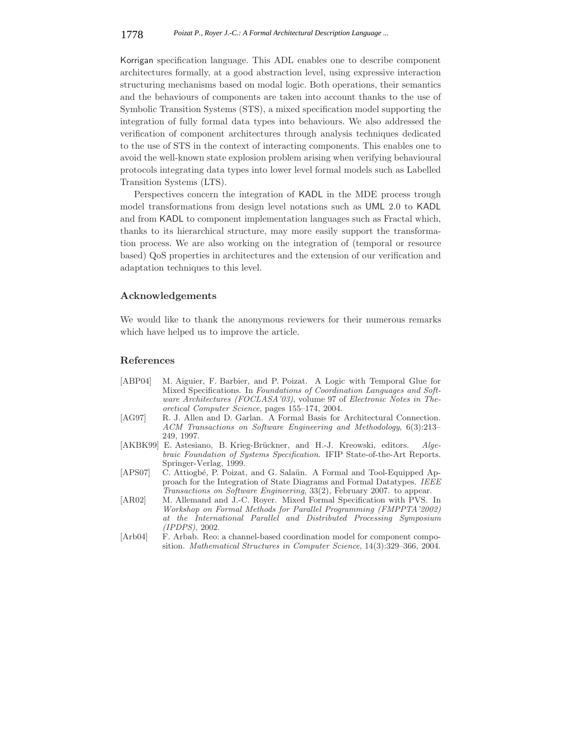Korrigan specification language. This ADL enables one to describe component architectures formally, at a good abstraction level, using expressive interaction structuring mechanisms based on modal logic. Both operations, their semantics and the behaviours of components are taken into account thanks to the use of Symbolic Transition Systems (STS), a mixed specification model supporting the integration of fully formal data types into behaviours. We also addressed the verification of component architectures through analysis techniques dedicated to the use of STS in the context of interacting components. This enables one to avoid the well-known state explosion problem arising when verifying behavioural protocols integrating data types into lower level formal models such as Labelled Transition Systems (LTS).

Perspectives concern the integration of KADL in the MDE process trough model transformations from design level notations such as UML 2.0 to KADL and from KADL to component implementation languages such as Fractal which, thanks to its hierarchical structure, may more easily support the transformation process. We are also working on the integration of (temporal or resource based) QoS properties in architectures and the extension of our verification and adaptation techniques to this level.

## **Acknowledgements**

We would like to thank the anonymous reviewers for their numerous remarks which have helped us to improve the article.

## **References**

- [ABP04] M. Aiguier, F. Barbier, and P. Poizat. A Logic with Temporal Glue for Mixed Specifications. In *Foundations of Coordination Languages and Software Architectures (FOCLASA'03)*, volume 97 of *Electronic Notes in Theoretical Computer Science*, pages 155–174, 2004.
- [AG97] R. J. Allen and D. Garlan. A Formal Basis for Architectural Connection. *ACM Transactions on Software Engineering and Methodology*, 6(3):213– 249, 1997.
- [AKBK99] E. Astesiano, B. Krieg-Brückner, and H.-J. Kreowski, editors. *Algebraic Foundation of Systems Specification*. IFIP State-of-the-Art Reports. Springer-Verlag, 1999.
- [APS07] C. Attiogbé, P. Poizat, and G. Salaün. A Formal and Tool-Equipped Approach for the Integration of State Diagrams and Formal Datatypes. *IEEE Transactions on Software Engineering*, 33(2), February 2007. to appear.
- [AR02] M. Allemand and J.-C. Royer. Mixed Formal Specification with PVS. In *Workshop on Formal Methods for Parallel Programming (FMPPTA'2002) at the International Parallel and Distributed Processing Symposium (IPDPS)*, 2002.
- [Arb04] F. Arbab. Reo: a channel-based coordination model for component composition. *Mathematical Structures in Computer Science*, 14(3):329–366, 2004.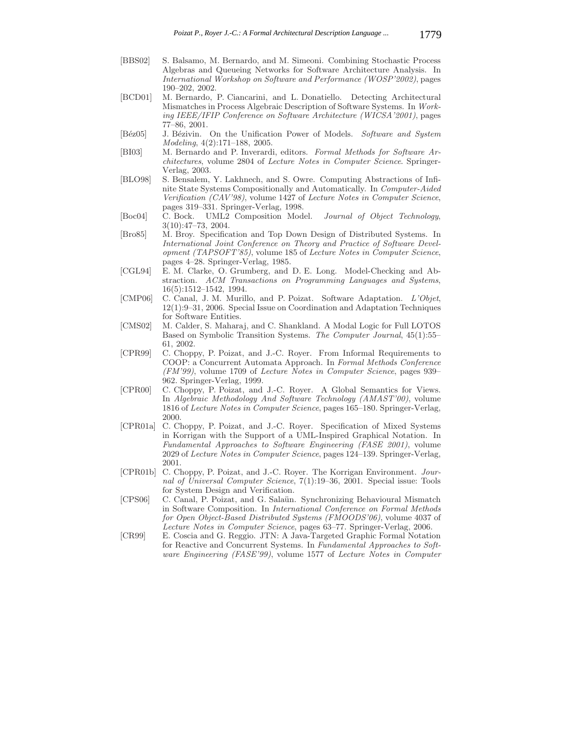- [BBS02] S. Balsamo, M. Bernardo, and M. Simeoni. Combining Stochastic Process Algebras and Queueing Networks for Software Architecture Analysis. In *International Workshop on Software and Performance (WOSP'2002)*, pages 190–202, 2002.
- [BCD01] M. Bernardo, P. Ciancarini, and L. Donatiello. Detecting Architectural Mismatches in Process Algebraic Description of Software Systems. In *Working IEEE/IFIP Conference on Software Architecture (WICSA'2001)*, pages 77–86, 2001.
- [B´ez05] J. B´ezivin. On the Unification Power of Models. *Software and System Modeling*, 4(2):171–188, 2005.
- [BI03] M. Bernardo and P. Inverardi, editors. *Formal Methods for Software Architectures*, volume 2804 of *Lecture Notes in Computer Science*. Springer-Verlag, 2003.
- [BLO98] S. Bensalem, Y. Lakhnech, and S. Owre. Computing Abstractions of Infinite State Systems Compositionally and Automatically. In *Computer-Aided Verification (CAV'98)*, volume 1427 of *Lecture Notes in Computer Science*, pages 319–331. Springer-Verlag, 1998.
- [Boc04] C. Bock. UML2 Composition Model. *Journal of Object Technology*, 3(10):47–73, 2004.
- [Bro85] M. Broy. Specification and Top Down Design of Distributed Systems. In *International Joint Conference on Theory and Practice of Software Development (TAPSOFT'85)*, volume 185 of *Lecture Notes in Computer Science*, pages 4–28. Springer-Verlag, 1985.
- [CGL94] E. M. Clarke, O. Grumberg, and D. E. Long. Model-Checking and Abstraction. *ACM Transactions on Programming Languages and Systems*, 16(5):1512–1542, 1994.
- [CMP06] C. Canal, J. M. Murillo, and P. Poizat. Software Adaptation. *L'Objet*, 12(1):9–31, 2006. Special Issue on Coordination and Adaptation Techniques for Software Entities.
- [CMS02] M. Calder, S. Maharaj, and C. Shankland. A Modal Logic for Full LOTOS Based on Symbolic Transition Systems. *The Computer Journal*, 45(1):55– 61, 2002.
- [CPR99] C. Choppy, P. Poizat, and J.-C. Royer. From Informal Requirements to COOP: a Concurrent Automata Approach. In *Formal Methods Conference (FM'99)*, volume 1709 of *Lecture Notes in Computer Science*, pages 939– 962. Springer-Verlag, 1999.
- [CPR00] C. Choppy, P. Poizat, and J.-C. Royer. A Global Semantics for Views. In *Algebraic Methodology And Software Technology (AMAST'00)*, volume 1816 of *Lecture Notes in Computer Science*, pages 165–180. Springer-Verlag, 2000.
- [CPR01a] C. Choppy, P. Poizat, and J.-C. Royer. Specification of Mixed Systems in Korrigan with the Support of a UML-Inspired Graphical Notation. In *Fundamental Approaches to Software Engineering (FASE 2001)*, volume 2029 of *Lecture Notes in Computer Science*, pages 124–139. Springer-Verlag, 2001.
- [CPR01b] C. Choppy, P. Poizat, and J.-C. Royer. The Korrigan Environment. *Journal of Universal Computer Science*, 7(1):19–36, 2001. Special issue: Tools for System Design and Verification.
- [CPS06] C. Canal, P. Poizat, and G. Salaün. Synchronizing Behavioural Mismatch in Software Composition. In *International Conference on Formal Methods for Open Object-Based Distributed Systems (FMOODS'06)*, volume 4037 of *Lecture Notes in Computer Science*, pages 63–77. Springer-Verlag, 2006.
- [CR99] E. Coscia and G. Reggio. JTN: A Java-Targeted Graphic Formal Notation for Reactive and Concurrent Systems. In *Fundamental Approaches to Software Engineering (FASE'99)*, volume 1577 of *Lecture Notes in Computer*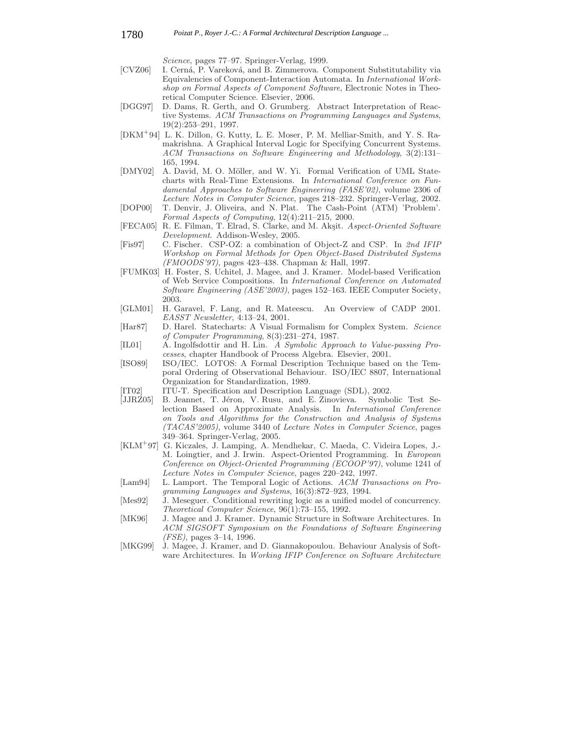*Science*, pages 77–97. Springer-Verlag, 1999.

- [CVZ06] I. Cerná, P. Vareková, and B. Zimmerova. Component Substitutability via Equivalencies of Component-Interaction Automata. In *International Workshop on Formal Aspects of Component Software*, Electronic Notes in Theoretical Computer Science. Elsevier, 2006.
- [DGG97] D. Dams, R. Gerth, and O. Grumberg. Abstract Interpretation of Reactive Systems. *ACM Transactions on Programming Languages and Systems*, 19(2):253–291, 1997.
- [DKM<sup>+</sup>94] L. K. Dillon, G. Kutty, L. E. Moser, P. M. Melliar-Smith, and Y. S. Ramakrishna. A Graphical Interval Logic for Specifying Concurrent Systems. *ACM Transactions on Software Engineering and Methodology*, 3(2):131– 165, 1994.
- [DMY02] A. David, M. O. Möller, and W. Yi. Formal Verification of UML Statecharts with Real-Time Extensions. In *International Conference on Fundamental Approaches to Software Engineering (FASE'02)*, volume 2306 of *Lecture Notes in Computer Science*, pages 218–232. Springer-Verlag, 2002.
- [DOP00] T. Denvir, J. Oliveira, and N. Plat. The Cash-Point (ATM) 'Problem'. *Formal Aspects of Computing*, 12(4):211–215, 2000.
- [FECA05] R. E. Filman, T. Elrad, S. Clarke, and M. Akşit. *Aspect-Oriented Software Development*. Addison-Wesley, 2005.
- [Fis97] C. Fischer. CSP-OZ: a combination of Object-Z and CSP. In *2nd IFIP Workshop on Formal Methods for Open Object-Based Distributed Systems (FMOODS'97)*, pages 423–438. Chapman & Hall, 1997.
- [FUMK03] H. Foster, S. Uchitel, J. Magee, and J. Kramer. Model-based Verification of Web Service Compositions. In *International Conference on Automated Software Engineering (ASE'2003)*, pages 152–163. IEEE Computer Society, 2003.
- [GLM01] H. Garavel, F. Lang, and R. Mateescu. An Overview of CADP 2001. *EASST Newsletter*, 4:13–24, 2001.
- [Har87] D. Harel. Statecharts: A Visual Formalism for Complex System. *Science of Computer Programming*, 8(3):231–274, 1987.
- [IL01] A. Ingolfsdottir and H. Lin. *A Symbolic Approach to Value-passing Processes*, chapter Handbook of Process Algebra. Elsevier, 2001.
- [ISO89] ISO/IEC. LOTOS: A Formal Description Technique based on the Temporal Ordering of Observational Behaviour. ISO/IEC 8807, International Organization for Standardization, 1989.

[IT02] ITU-T. Specification and Description Language (SDL), 2002.

- [JJRZ05] B. Jeannet, T. Jéron, V. Rusu, and E. Zinovieva. Symbolic Test Selection Based on Approximate Analysis. In *International Conference on Tools and Algorithms for the Construction and Analysis of Systems (TACAS'2005)*, volume 3440 of *Lecture Notes in Computer Science*, pages 349–364. Springer-Verlag, 2005.
- [KLM<sup>+</sup>97] G. Kiczales, J. Lamping, A. Mendhekar, C. Maeda, C. Videira Lopes, J.- M. Loingtier, and J. Irwin. Aspect-Oriented Programming. In *European Conference on Object-Oriented Programming (ECOOP'97)*, volume 1241 of *Lecture Notes in Computer Science*, pages 220–242, 1997.
- [Lam94] L. Lamport. The Temporal Logic of Actions. *ACM Transactions on Programming Languages and Systems*, 16(3):872–923, 1994.
- [Mes92] J. Meseguer. Conditional rewriting logic as a unified model of concurrency. *Theoretical Computer Science*, 96(1):73–155, 1992.
- [MK96] J. Magee and J. Kramer. Dynamic Structure in Software Architectures. In *ACM SIGSOFT Symposium on the Foundations of Software Engineering (FSE)*, pages 3–14, 1996.
- [MKG99] J. Magee, J. Kramer, and D. Giannakopoulou. Behaviour Analysis of Software Architectures. In *Working IFIP Conference on Software Architecture*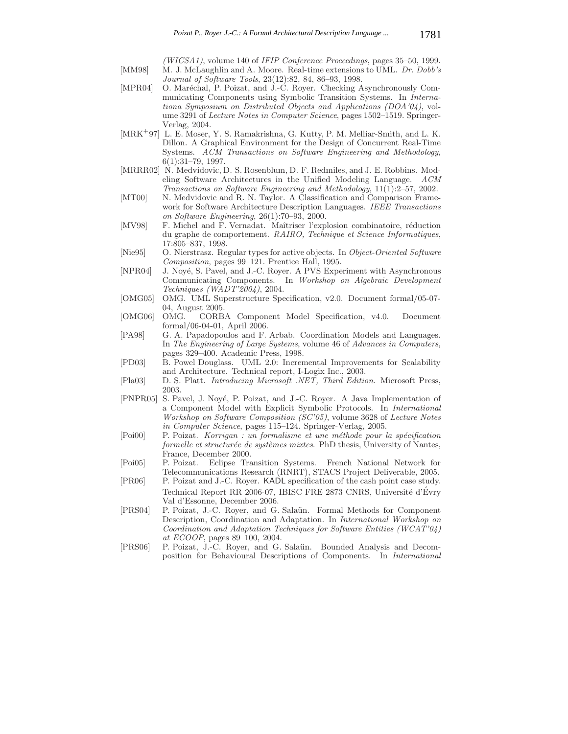*(WICSA1)*, volume 140 of *IFIP Conference Proceedings*, pages 35–50, 1999. [MM98] M. J. McLaughlin and A. Moore. Real-time extensions to UML. *Dr. Dobb's Journal of Software Tools*, 23(12):82, 84, 86–93, 1998.

- [MPR04] O. Maréchal, P. Poizat, and J.-C. Royer. Checking Asynchronously Communicating Components using Symbolic Transition Systems. In *Internationa Symposium on Distributed Objects and Applications (DOA'04)*, volume 3291 of *Lecture Notes in Computer Science*, pages 1502–1519. Springer-Verlag, 2004.
- [MRK<sup>+</sup>97] L. E. Moser, Y. S. Ramakrishna, G. Kutty, P. M. Melliar-Smith, and L. K. Dillon. A Graphical Environment for the Design of Concurrent Real-Time Systems. *ACM Transactions on Software Engineering and Methodology*, 6(1):31–79, 1997.
- [MRRR02] N. Medvidovic, D. S. Rosenblum, D. F. Redmiles, and J. E. Robbins. Modeling Software Architectures in the Unified Modeling Language. *ACM Transactions on Software Engineering and Methodology*, 11(1):2–57, 2002.
- [MT00] N. Medvidovic and R. N. Taylor. A Classification and Comparison Framework for Software Architecture Description Languages. *IEEE Transactions on Software Engineering*, 26(1):70–93, 2000.
- [MV98] F. Michel and F. Vernadat. Maîtriser l'explosion combinatoire, réduction du graphe de comportement. *RAIRO, Technique et Science Informatiques*, 17:805–837, 1998.
- [Nie95] O. Nierstrasz. Regular types for active objects. In *Object-Oriented Software Composition*, pages 99–121. Prentice Hall, 1995.
- [NPR04] J. Noyé, S. Pavel, and J.-C. Royer. A PVS Experiment with Asynchronous Communicating Components. In *Workshop on Algebraic Development Techniques (WADT'2004)*, 2004.
- [OMG05] OMG. UML Superstructure Specification, v2.0. Document formal/05-07- 04, August 2005.
- [OMG06] OMG. CORBA Component Model Specification, v4.0. Document formal/06-04-01, April 2006.
- [PA98] G. A. Papadopoulos and F. Arbab. Coordination Models and Languages. In *The Engineering of Large Systems*, volume 46 of *Advances in Computers*, pages 329–400. Academic Press, 1998.
- [PD03] B. Powel Douglass. UML 2.0: Incremental Improvements for Scalability and Architecture. Technical report, I-Logix Inc., 2003.
- [Pla03] D. S. Platt. *Introducing Microsoft .NET, Third Edition*. Microsoft Press, 2003.
- [PNPR05] S. Pavel, J. Noyé, P. Poizat, and J.-C. Royer. A Java Implementation of a Component Model with Explicit Symbolic Protocols. In *International Workshop on Software Composition (SC'05)*, volume 3628 of *Lecture Notes in Computer Science*, pages 115–124. Springer-Verlag, 2005.
- [Poi00] P. Poizat. *Korrigan : un formalisme et une m´ethode pour la sp´ecification formelle et structurée de systèmes mixtes.* PhD thesis, University of Nantes, France, December 2000.
- [Poi05] P. Poizat. Eclipse Transition Systems. French National Network for Telecommunications Research (RNRT), STACS Project Deliverable, 2005.
- [PR06] P. Poizat and J.-C. Royer. KADL specification of the cash point case study. Technical Report RR 2006-07, IBISC FRE 2873 CNRS, Université d'Évry Val d'Essonne, December 2006.
- [PRS04] P. Poizat, J.-C. Royer, and G. Salaün. Formal Methods for Component Description, Coordination and Adaptation. In *International Workshop on Coordination and Adaptation Techniques for Software Entities (WCAT'04) at ECOOP*, pages 89–100, 2004.
- [PRS06] P. Poizat, J.-C. Royer, and G. Salaün. Bounded Analysis and Decomposition for Behavioural Descriptions of Components. In *International*